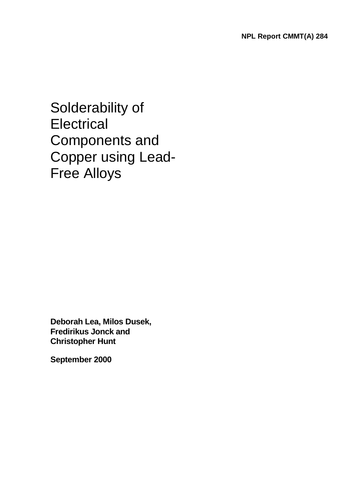Solderability of **Electrical** Components and Copper using Lead-Free Alloys

**Deborah Lea, Milos Dusek, Fredirikus Jonck and Christopher Hunt**

**September 2000**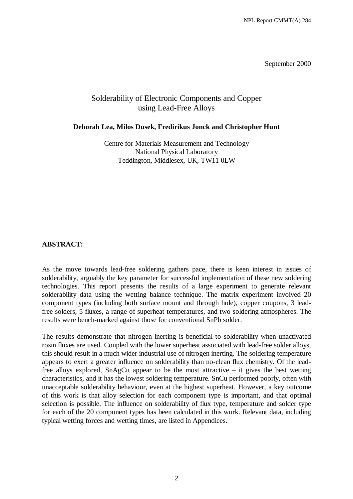September 2000

## Solderability of Electronic Components and Copper using Lead-Free Alloys

#### **Deborah Lea, Milos Dusek, Fredirikus Jonck and Christopher Hunt**

Centre for Materials Measurement and Technology National Physical Laboratory Teddington, Middlesex, UK, TW11 0LW

#### **ABSTRACT:**

As the move towards lead-free soldering gathers pace, there is keen interest in issues of solderability, arguably the key parameter for successful implementation of these new soldering technologies. This report presents the results of a large experiment to generate relevant solderability data using the wetting balance technique. The matrix experiment involved 20 component types (including both surface mount and through hole), copper coupons, 3 leadfree solders, 5 fluxes, a range of superheat temperatures, and two soldering atmospheres. The results were bench-marked against those for conventional SnPb solder.

The results demonstrate that nitrogen inerting is beneficial to solderability when unactivated rosin fluxes are used. Coupled with the lower superheat associated with lead-free solder alloys, this should result in a much wider industrial use of nitrogen inerting. The soldering temperature appears to exert a greater influence on solderability than no-clean flux chemistry. Of the leadfree alloys explored, SnAgCu appear to be the most attractive – it gives the best wetting characteristics, and it has the lowest soldering temperature. SnCu performed poorly, often with unacceptable solderability behaviour, even at the highest superheat. However, a key outcome of this work is that alloy selection for each component type is important, and that optimal selection is possible. The influence on solderability of flux type, temperature and solder type for each of the 20 component types has been calculated in this work. Relevant data, including typical wetting forces and wetting times, are listed in Appendices.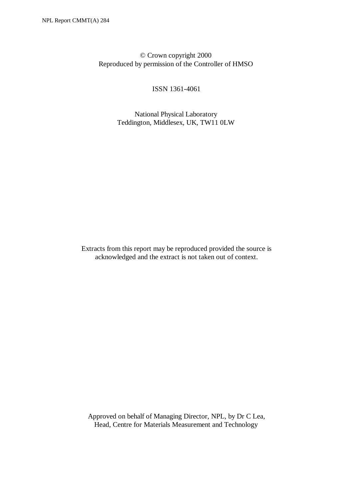© Crown copyright 2000 Reproduced by permission of the Controller of HMSO

ISSN 1361-4061

 National Physical Laboratory Teddington, Middlesex, UK, TW11 0LW

Extracts from this report may be reproduced provided the source is acknowledged and the extract is not taken out of context.

Approved on behalf of Managing Director, NPL, by Dr C Lea, Head, Centre for Materials Measurement and Technology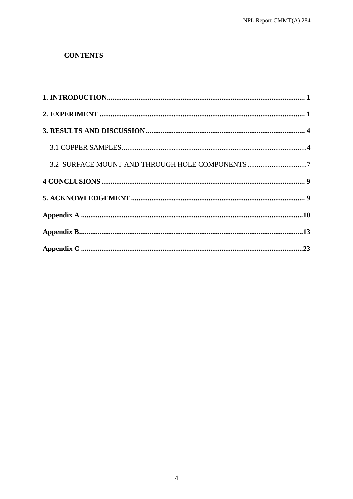## **CONTENTS**

| 3.2 SURFACE MOUNT AND THROUGH HOLE COMPONENTS 7 |  |
|-------------------------------------------------|--|
|                                                 |  |
|                                                 |  |
|                                                 |  |
|                                                 |  |
|                                                 |  |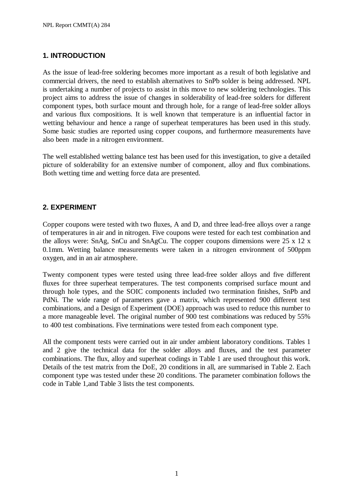## **1. INTRODUCTION**

As the issue of lead-free soldering becomes more important as a result of both legislative and commercial drivers, the need to establish alternatives to SnPb solder is being addressed. NPL is undertaking a number of projects to assist in this move to new soldering technologies. This project aims to address the issue of changes in solderability of lead-free solders for different component types, both surface mount and through hole, for a range of lead-free solder alloys and various flux compositions. It is well known that temperature is an influential factor in wetting behaviour and hence a range of superheat temperatures has been used in this study. Some basic studies are reported using copper coupons, and furthermore measurements have also been made in a nitrogen environment.

The well established wetting balance test has been used for this investigation, to give a detailed picture of solderability for an extensive number of component, alloy and flux combinations. Both wetting time and wetting force data are presented.

## **2. EXPERIMENT**

Copper coupons were tested with two fluxes, A and D, and three lead-free alloys over a range of temperatures in air and in nitrogen. Five coupons were tested for each test combination and the alloys were: SnAg, SnCu and SnAgCu. The copper coupons dimensions were 25 x 12 x 0.1mm. Wetting balance measurements were taken in a nitrogen environment of 500ppm oxygen, and in an air atmosphere.

Twenty component types were tested using three lead-free solder alloys and five different fluxes for three superheat temperatures. The test components comprised surface mount and through hole types, and the SOIC components included two termination finishes, SnPb and PdNi. The wide range of parameters gave a matrix, which represented 900 different test combinations, and a Design of Experiment (DOE) approach was used to reduce this number to a more manageable level. The original number of 900 test combinations was reduced by 55% to 400 test combinations. Five terminations were tested from each component type.

All the component tests were carried out in air under ambient laboratory conditions. Tables 1 and 2 give the technical data for the solder alloys and fluxes, and the test parameter combinations. The flux, alloy and superheat codings in Table 1 are used throughout this work. Details of the test matrix from the DoE, 20 conditions in all, are summarised in Table 2. Each component type was tested under these 20 conditions. The parameter combination follows the code in Table 1,and Table 3 lists the test components.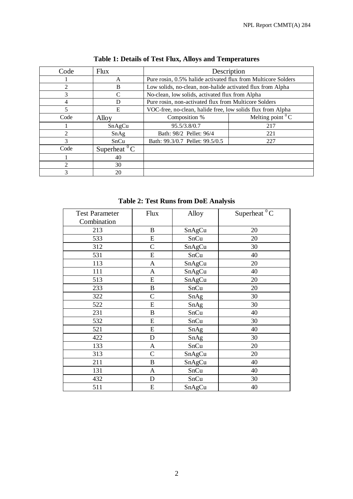| Code           | <b>Flux</b>                  | Description                                                   |                         |  |  |
|----------------|------------------------------|---------------------------------------------------------------|-------------------------|--|--|
|                | A                            | Pure rosin, 0.5% halide activated flux from Multicore Solders |                         |  |  |
| $\mathfrak{D}$ | B                            | Low solids, no-clean, non-halide activated flux from Alpha    |                         |  |  |
| 3              | $\mathsf{\Gamma}$            | No-clean, low solids, activated flux from Alpha               |                         |  |  |
| 4              | D                            | Pure rosin, non-activated flux from Multicore Solders         |                         |  |  |
| 5              | E                            | VOC-free, no-clean, halide free, low solids flux from Alpha   |                         |  |  |
| Code           | Alloy                        | Composition %                                                 | Melting point ${}^{0}C$ |  |  |
|                | SnAgCu                       | 95.5/3.8/0.7                                                  | 217                     |  |  |
| $\mathfrak{D}$ | SnAg                         | Bath: 98/2 Pellet: 96/4                                       | 221                     |  |  |
| 3              | SnCu                         | Bath: 99.3/0.7 Pellet: 99.5/0.5                               | 227                     |  |  |
| Code           | Superheat $\overline{{}^0C}$ |                                                               |                         |  |  |
|                | 40                           |                                                               |                         |  |  |
| 2              | 30                           |                                                               |                         |  |  |
| 3              | 20                           |                                                               |                         |  |  |

# **Table 1: Details of Test Flux, Alloys and Temperatures**

**Table 2: Test Runs from DoE Analysis** 

| <b>Test Parameter</b> | <b>Flux</b>   | Alloy  | Superheat $\overline{{}^0C}$ |
|-----------------------|---------------|--------|------------------------------|
| Combination           |               |        |                              |
| 213                   | $\bf{B}$      | SnAgCu | 20                           |
| 533                   | E             | SnCu   | 20                           |
| 312                   | $\mathcal{C}$ | SnAgCu | 30                           |
| 531                   | E             | SnCu   | 40                           |
| 113                   | A             | SnAgCu | 20                           |
| 111                   | $\mathbf{A}$  | SnAgCu | 40                           |
| 513                   | E             | SnAgCu | 20                           |
| 233                   | B             | SnCu   | 20                           |
| 322                   | $\mathbf C$   | SnAg   | 30                           |
| 522                   | E             | SnAg   | 30                           |
| 231                   | $\bf{B}$      | SnCu   | 40                           |
| 532                   | E             | SnCu   | 30                           |
| 521                   | E             | SnAg   | 40                           |
| 422                   | D             | SnAg   | 30                           |
| 133                   | $\mathbf{A}$  | SnCu   | 20                           |
| 313                   | $\mathbf C$   | SnAgCu | 20                           |
| 211                   | $\bf{B}$      | SnAgCu | 40                           |
| 131                   | A             | SnCu   | 40                           |
| 432                   | D             | SnCu   | 30                           |
| 511                   | E             | SnAgCu | 40                           |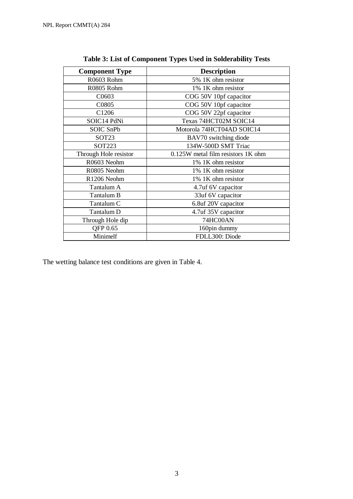| <b>Component Type</b> | <b>Description</b>                 |
|-----------------------|------------------------------------|
| R0603 Rohm            | 5% 1K ohm resistor                 |
| R0805 Rohm            | 1% 1K ohm resistor                 |
| C0603                 | COG 50V 10pf capacitor             |
| C0805                 | COG 50V 10pf capacitor             |
| C1206                 | COG 50V 22pf capacitor             |
| SOIC14 PdNi           | Texas 74HCT02M SOIC14              |
| SOIC SnPb             | Motorola 74HCT04AD SOIC14          |
| SOT <sub>23</sub>     | BAV70 switching diode              |
| <b>SOT223</b>         | 134W-500D SMT Triac                |
| Through Hole resistor | 0.125W metal film resistors 1K ohm |
| R0603 Neohm           | 1% 1K ohm resistor                 |
| R0805 Neohm           | 1% 1K ohm resistor                 |
| R1206 Neohm           | 1% 1K ohm resistor                 |
| Tantalum A            | 4.7uf 6V capacitor                 |
| Tantalum B            | 33uf 6V capacitor                  |
| Tantalum C            | 6.8uf 20V capacitor                |
| Tantalum D            | 4.7uf 35V capacitor                |
| Through Hole dip      | 74HC00AN                           |
| QFP 0.65              | 160pin dummy                       |
| Minimelf              | FDLL300: Diode                     |

**Table 3: List of Component Types Used in Solderability Tests** 

The wetting balance test conditions are given in Table 4.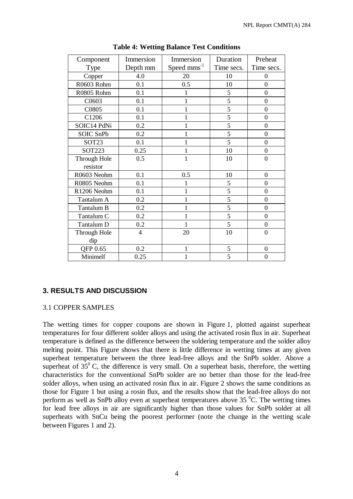| Component         | Immersion      | Immersion               | Duration   | Preheat        |
|-------------------|----------------|-------------------------|------------|----------------|
| Type              | Depth mm       | Speed mms <sup>-1</sup> | Time secs. | Time secs.     |
| Copper            | 4.0            | 20                      | 10         | $\overline{0}$ |
| R0603 Rohm        | 0.1            | 0.5                     | 10         | $\overline{0}$ |
| R0805 Rohm        | 0.1            | 1                       | 5          | $\overline{0}$ |
| C0603             | 0.1            | 1                       | 5          | $\overline{0}$ |
| C0805             | 0.1            | $\mathbf{1}$            | 5          | $\overline{0}$ |
| C1206             | 0.1            | 1                       | 5          | $\overline{0}$ |
| SOIC14 PdNi       | 0.2            | $\mathbf{1}$            | 5          | $\overline{0}$ |
| SOIC SnPb         | 0.2            | 1                       | 5          | $\overline{0}$ |
| SOT <sub>23</sub> | 0.1            | 1                       | 5          | $\overline{0}$ |
| <b>SOT223</b>     | 0.25           | 1                       | 10         | $\overline{0}$ |
| Through Hole      | 0.5            | $\mathbf{1}$            | 10         | $\overline{0}$ |
| resistor          |                |                         |            |                |
| R0603 Neohm       | 0.1            | 0.5                     | 10         | $\overline{0}$ |
| R0805 Neohm       | 0.1            | 1                       | 5          | $\overline{0}$ |
| R1206 Neohm       | 0.1            | 1                       | 5          | $\overline{0}$ |
| Tantalum A        | 0.2            | 1                       | 5          | $\overline{0}$ |
| Tantalum B        | 0.2            | 1                       | 5          | $\overline{0}$ |
| Tantalum C        | 0.2            | 1                       | 5          | $\overline{0}$ |
| Tantalum D        | 0.2            |                         | 5          | $\overline{0}$ |
| Through Hole      | $\overline{4}$ | 20                      | 10         | $\overline{0}$ |
| dip               |                |                         |            |                |
| QFP 0.65          | 0.2            | 1                       | 5          | $\overline{0}$ |
| Minimelf          | 0.25           | 1                       | 5          | $\overline{0}$ |

**Table 4: Wetting Balance Test Conditions** 

## **3. RESULTS AND DISCUSSION**

### 3.1 COPPER SAMPLES

The wetting times for copper coupons are shown in Figure 1, plotted against superheat temperatures for four different solder alloys and using the activated rosin flux in air. Superheat temperature is defined as the difference between the soldering temperature and the solder alloy melting point. This Figure shows that there is little difference in wetting times at any given superheat temperature between the three lead-free alloys and the SnPb solder. Above a superheat of  $35^{\circ}$  C, the difference is very small. On a superheat basis, therefore, the wetting characteristics for the conventional SnPb solder are no better than those for the lead-free solder alloys, when using an activated rosin flux in air. Figure 2 shows the same conditions as those for Figure 1 but using a rosin flux, and the results show that the lead-free alloys do not perform as well as SnPb alloy even at superheat temperatures above 35  $\mathrm{^0C}$ . The wetting times for lead free alloys in air are significantly higher than those values for SnPb solder at all superheats with SnCu being the poorest performer (note the change in the wetting scale between Figures 1 and 2).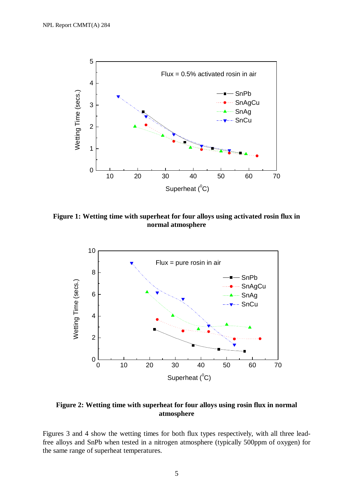

**Figure 1: Wetting time with superheat for four alloys using activated rosin flux in normal atmosphere**



**Figure 2: Wetting time with superheat for four alloys using rosin flux in normal atmosphere**

Figures 3 and 4 show the wetting times for both flux types respectively, with all three leadfree alloys and SnPb when tested in a nitrogen atmosphere (typically 500ppm of oxygen) for the same range of superheat temperatures.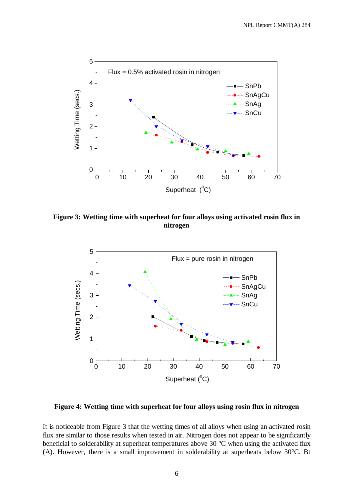

**Figure 3: Wetting time with superheat for four alloys using activated rosin flux in nitrogen**



**Figure 4: Wetting time with superheat for four alloys using rosin flux in nitrogen**

It is noticeable from Figure 3 that the wetting times of all alloys when using an activated rosin flux are similar to those results when tested in air. Nitrogen does not appear to be significantly beneficial to solderability at superheat temperatures above 30 °C when using the activated flux (A). However, there is a small improvement in solderability at superheats below 30°C. Bt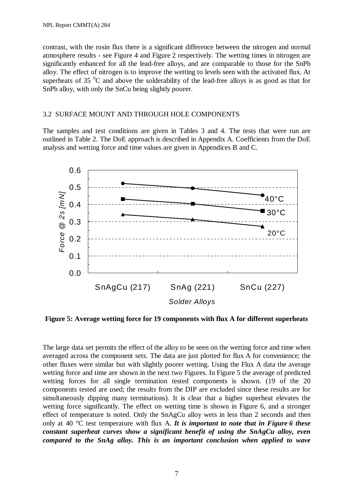contrast, with the rosin flux there is a significant difference between the nitrogen and normal atmosphere results - see Figure 4 and Figure 2 respectively. The wetting times in nitrogen are significantly enhanced for all the lead-free alloys, and are comparable to those for the SnPb alloy. The effect of nitrogen is to improve the wetting to levels seen with the activated flux. At superheats of 35 $\mathrm{^{0}C}$  and above the solderability of the lead-free alloys is as good as that for SnPb alloy, with only the SnCu being slightly poorer.

## 3.2 SURFACE MOUNT AND THROUGH HOLE COMPONENTS

The samples and test conditions are given in Tables 3 and 4. The tests that were run are outlined in Table 2. The DoE approach is described in Appendix A. Coefficients from the DoE analysis and wetting force and time values are given in Appendices B and C.



**Figure 5: Average wetting force for 19 components with flux A for different superheats** 

The large data set permits the effect of the alloy to be seen on the wetting force and time when averaged across the component sets. The data are just plotted for flux A for convenience; the other fluxes were similar but with slightly poorer wetting. Using the Flux A data the average wetting force and time are shown in the next two Figures. In Figure 5 the average of predicted wetting forces for all single termination tested components is shown. (19 of the 20 components tested are used; the results from the DIP are excluded since these results are for simultaneously dipping many terminations). It is clear that a higher superheat elevates the wetting force significantly. The effect on wetting time is shown in Figure 6, and a stronger effect of temperature is noted. Only the SnAgCu alloy wets in less than 2 seconds and then only at 40 °C test temperature with flux A. *It is important to note that in Figure 6 these constant superheat curves show a significant benefit of using the SnAgCu alloy, even compared to the SnAg alloy. This is an important conclusion when applied to wave*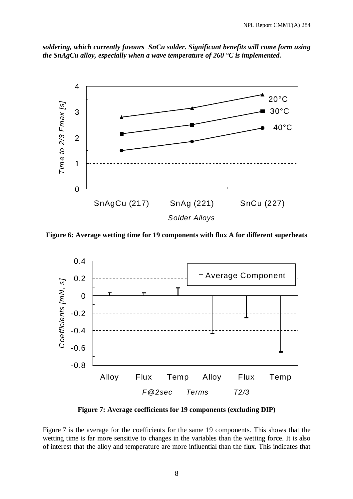*soldering, which currently favours SnCu solder. Significant benefits will come form using the SnAgCu alloy, especially when a wave temperature of 260 °C is implemented.* 



**Figure 6: Average wetting time for 19 components with flux A for different superheats** 



**Figure 7: Average coefficients for 19 components (excluding DIP)** 

Figure 7 is the average for the coefficients for the same 19 components. This shows that the wetting time is far more sensitive to changes in the variables than the wetting force. It is also of interest that the alloy and temperature are more influential than the flux. This indicates that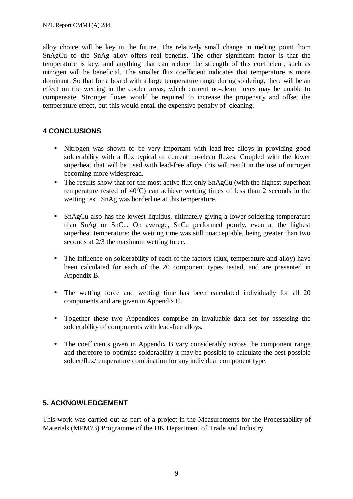alloy choice will be key in the future. The relatively small change in melting point from SnAgCu to the SnAg alloy offers real benefits. The other significant factor is that the temperature is key, and anything that can reduce the strength of this coefficient, such as nitrogen will be beneficial. The smaller flux coefficient indicates that temperature is more dominant. So that for a board with a large temperature range during soldering, there will be an effect on the wetting in the cooler areas, which current no-clean fluxes may be unable to compensate. Stronger fluxes would be required to increase the propensity and offset the temperature effect, but this would entail the expensive penalty of cleaning.

## **4 CONCLUSIONS**

- Nitrogen was shown to be very important with lead-free alloys in providing good solderability with a flux typical of current no-clean fluxes. Coupled with the lower superheat that will be used with lead-free alloys this will result in the use of nitrogen becoming more widespread.
- The results show that for the most active flux only SnAgCu (with the highest superheat temperature tested of  $40^{\circ}$ C) can achieve wetting times of less than 2 seconds in the wetting test. SnAg was borderline at this temperature.
- SnAgCu also has the lowest liquidus, ultimately giving a lower soldering temperature than SnAg or SnCu. On average, SnCu performed poorly, even at the highest superheat temperature; the wetting time was still unacceptable, being greater than two seconds at 2/3 the maximum wetting force.
- The influence on solderability of each of the factors (flux, temperature and alloy) have been calculated for each of the 20 component types tested, and are presented in Appendix B.
- The wetting force and wetting time has been calculated individually for all 20 components and are given in Appendix C.
- Together these two Appendices comprise an invaluable data set for assessing the solderability of components with lead-free alloys.
- The coefficients given in Appendix B vary considerably across the component range and therefore to optimise solderability it may be possible to calculate the best possible solder/flux/temperature combination for any individual component type.

## **5. ACKNOWLEDGEMENT**

This work was carried out as part of a project in the Measurements for the Processability of Materials (MPM73) Programme of the UK Department of Trade and Industry.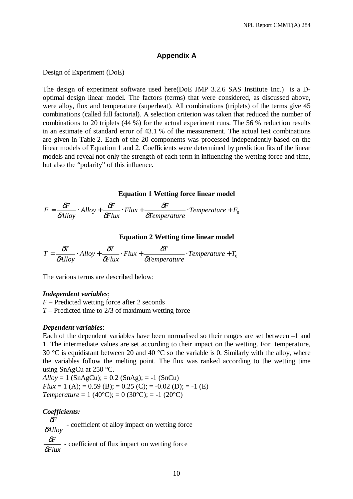#### **Appendix A**

Design of Experiment (DoE)

The design of experiment software used here(DoE JMP 3.2.6 SAS Institute Inc.) is a Doptimal design linear model. The factors (terms) that were considered, as discussed above, were alloy, flux and temperature (superheat). All combinations (triplets) of the terms give 45 combinations (called full factorial). A selection criterion was taken that reduced the number of combinations to 20 triplets (44 %) for the actual experiment runs. The 56 % reduction results in an estimate of standard error of 43.1 % of the measurement. The actual test combinations are given in Table 2. Each of the 20 components was processed independently based on the linear models of Equation 1 and 2. Coefficients were determined by prediction fits of the linear models and reveal not only the strength of each term in influencing the wetting force and time, but also the "polarity" of this influence.

#### **Equation 1 Wetting force linear model**

*F*<sup>0</sup> *Temperature Temperature*  $Flux + \frac{\delta F}{\delta T}$  $F = \frac{\delta F}{\delta Alloy} \cdot Alloy + \frac{\delta F}{\delta Flux} \cdot Flux + \frac{\delta F}{\delta Temperature} \cdot Temperature +$ δ δ δ δ δ

#### **Equation 2 Wetting time linear model**

$$
T = \frac{\delta T}{\delta A l l o y} \cdot A l l o y + \frac{\delta T}{\delta F l u x} \cdot Fl u x + \frac{\delta T}{\delta Temperature} \cdot Temperature + T_0
$$

The various terms are described below:

#### *Independent variables*:

*F* – Predicted wetting force after 2 seconds

*T* – Predicted time to 2/3 of maximum wetting force

#### *Dependent variables*:

Each of the dependent variables have been normalised so their ranges are set between –1 and 1. The intermediate values are set according to their impact on the wetting. For temperature, 30 °C is equidistant between 20 and 40 °C so the variable is 0. Similarly with the alloy, where the variables follow the melting point. The flux was ranked according to the wetting time using SnAgCu at 250 °C.

 $Alloy = 1$  (SnAgCu); = 0.2 (SnAg); = -1 (SnCu) *Flux* = 1 (A); = 0.59 (B); = 0.25 (C); = -0.02 (D); = -1 (E) *Temperature* = 1 (40°C); = 0 (30°C); = -1 (20°C)

## *Coefficients:*

*Alloy F*  $\frac{\delta F}{\delta A llov}$  - coefficient of alloy impact on wetting force *Flux F*  $\frac{\delta F}{\delta F lux}$  - coefficient of flux impact on wetting force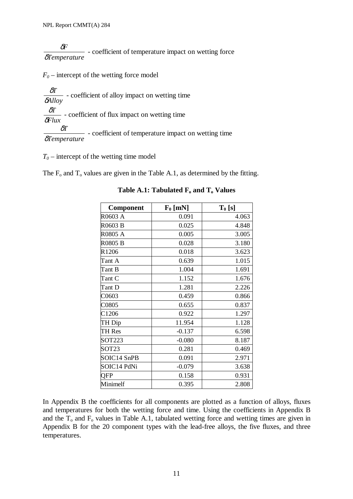*Temperature F*  $\frac{\delta F}{\delta Temperature}$  - coefficient of temperature impact on wetting force

 $F_0$  – intercept of the wetting force model

*Alloy T*  $\frac{\delta T}{\delta A llov}$  - coefficient of alloy impact on wetting time *Flux T*  $\frac{\delta T}{\delta F lux}$  - coefficient of flux impact on wetting time *Temperature T*  $\frac{\delta T}{\delta Temperature}$  - coefficient of temperature impact on wetting time

 $T_0$  – intercept of the wetting time model

The  $F_0$  and  $T_0$  values are given in the Table A.1, as determined by the fitting.

| Component         | $F_0$ [mN] | $T_0$ [s] |
|-------------------|------------|-----------|
| R0603 A           | 0.091      | 4.063     |
| R0603 B           | 0.025      | 4.848     |
| R0805 A           | 0.005      | 3.005     |
| R0805 B           | 0.028      | 3.180     |
| R <sub>1206</sub> | 0.018      | 3.623     |
| Tant A            | 0.639      | 1.015     |
| Tant B            | 1.004      | 1.691     |
| Tant C            | 1.152      | 1.676     |
| Tant D            | 1.281      | 2.226     |
| C0603             | 0.459      | 0.866     |
| C0805             | 0.655      | 0.837     |
| C1206             | 0.922      | 1.297     |
| TH Dip            | 11.954     | 1.128     |
| TH Res            | $-0.137$   | 6.598     |
| SOT223            | $-0.080$   | 8.187     |
| SOT <sub>23</sub> | 0.281      | 0.469     |
| SOIC14 SnPB       | 0.091      | 2.971     |
| SOIC14 PdNi       | $-0.079$   | 3.638     |
| QFP               | 0.158      | 0.931     |
| Minimelf          | 0.395      | 2.808     |

Table A.1: Tabulated F<sub>o</sub> and T<sub>o</sub> Values

In Appendix B the coefficients for all components are plotted as a function of alloys, fluxes and temperatures for both the wetting force and time. Using the coefficients in Appendix B and the  $T<sub>o</sub>$  and  $F<sub>o</sub>$  values in Table A.1, tabulated wetting force and wetting times are given in Appendix B for the 20 component types with the lead-free alloys, the five fluxes, and three temperatures.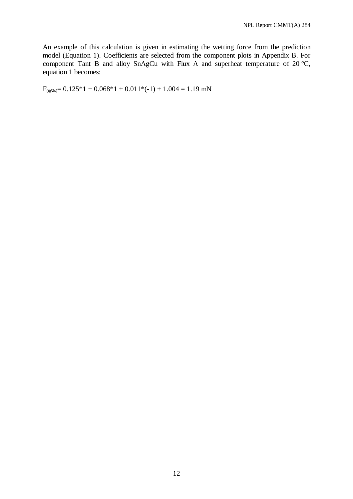An example of this calculation is given in estimating the wetting force from the prediction model (Equation 1). Coefficients are selected from the component plots in Appendix B. For component Tant B and alloy SnAgCu with Flux A and superheat temperature of 20 °C, equation 1 becomes:

 $F_{(@2s)} = 0.125*1 + 0.068*1 + 0.011*(-1) + 1.004 = 1.19$  mN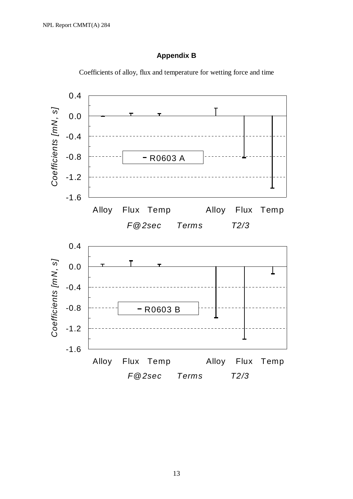## **Appendix B**



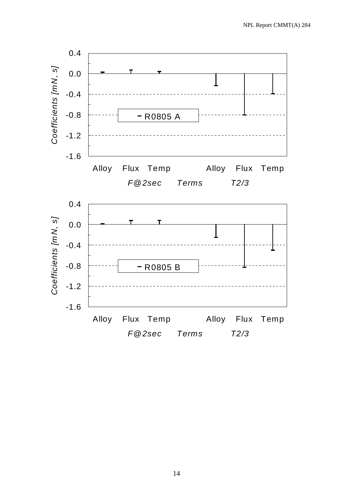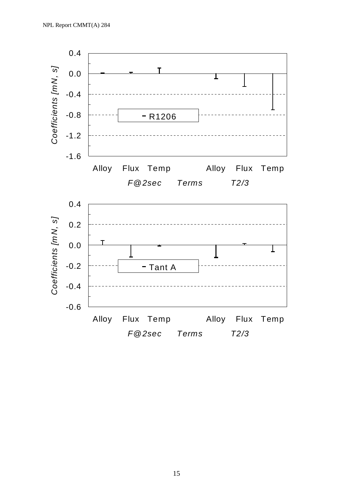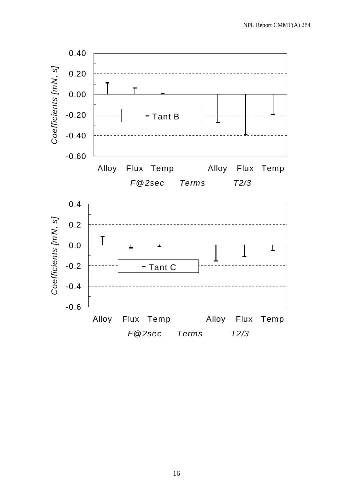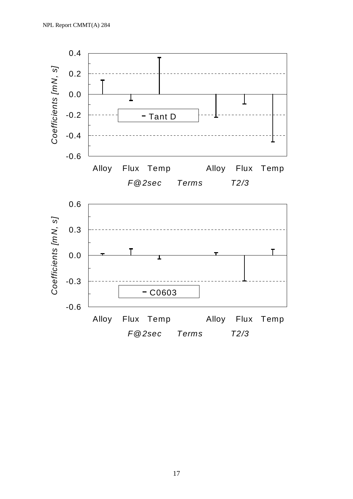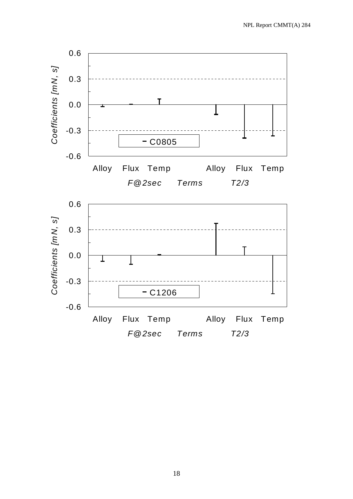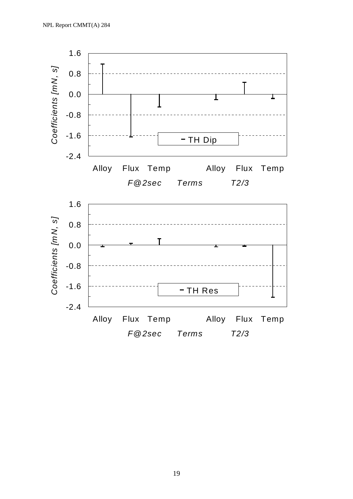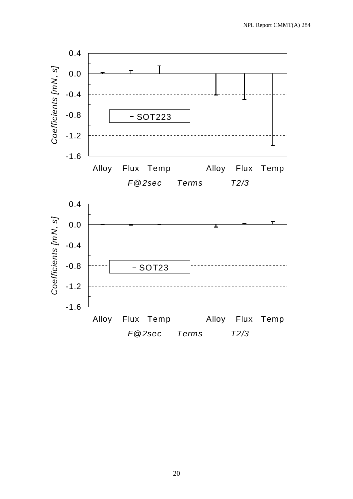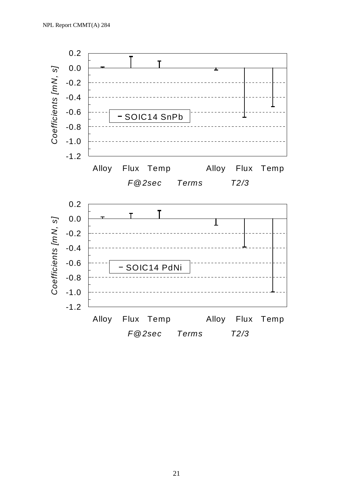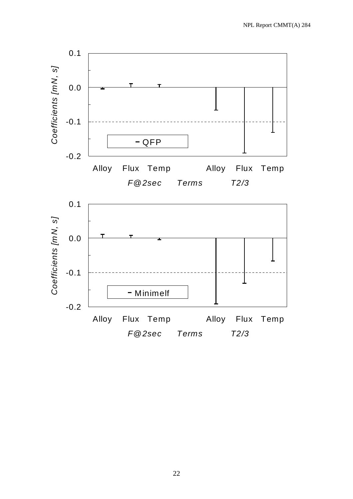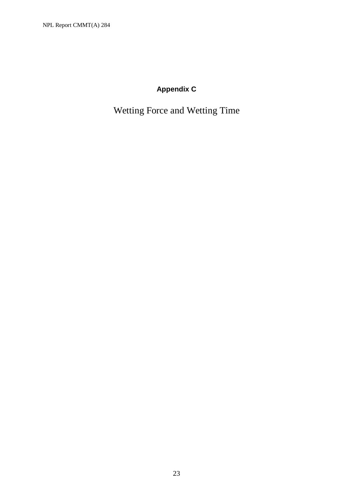# **Appendix C**

Wetting Force and Wetting Time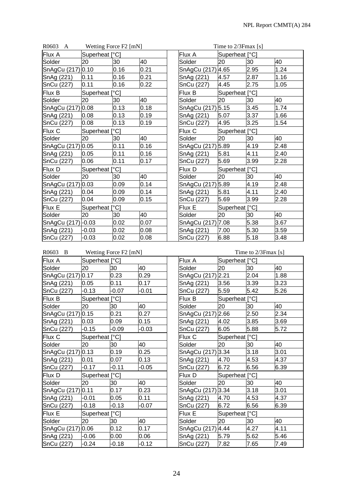| R0603 A           |                | Wetting Force F2 [mN] |         |                   | Time to $2/3$ Fmax [s] |                     |      |
|-------------------|----------------|-----------------------|---------|-------------------|------------------------|---------------------|------|
| Flux A            | Superheat [°C] |                       |         | Flux A            | Superheat [°C]         |                     |      |
| Solder            | 20             | 30                    | 40      | Solder            | 20                     | 30                  | 40   |
| SnAgCu (217) 0.10 |                | 0.16                  | 0.21    | SnAgCu (217) 4.65 |                        | 2.95                | 1.24 |
| SnAg (221)        | 0.11           | 0.16                  | 0.21    | SnAg (221)        | 4.57                   | 2.87                | 1.16 |
| SnCu (227)        | 0.11           | 0.16                  | 0.22    | SnCu (227)        | 4.45                   | 2.75                | 1.05 |
| Flux B            | Superheat [°C] |                       |         | Flux B            | Superheat [°C]         |                     |      |
| Solder            | 20             | 30                    | 40      | Solder            | 20                     | 30                  | 40   |
| SnAgCu (217) 0.08 |                | 0.13                  | 0.18    | SnAgCu (217) 5.15 |                        | 3.45                | 1.74 |
| SnAg (221)        | 0.08           | 0.13                  | 0.19    | SnAg (221)        | 5.07                   | 3.37                | 1.66 |
| SnCu (227)        | 0.08           | 0.13                  | 0.19    | SnCu (227)        | 4.95                   | 3.25                | 1.54 |
| Flux C            | Superheat [°C] |                       |         | Flux C            | Superheat [°C]         |                     |      |
| Solder            | 20             | 30                    | 40      | Solder            | 20                     | 30                  | 40   |
| SnAgCu (217) 0.05 |                | 0.11                  | 0.16    | SnAgCu (217) 5.89 |                        | 4.19                | 2.48 |
| SnAg (221)        | 0.05           | 0.11                  | 0.16    | SnAg (221)        | 5.81                   | 4.11                | 2.40 |
| SnCu (227)        | 0.06           | 0.11                  | 0.17    | SnCu (227)        | 5.69                   | 3.99                | 2.28 |
| Flux D            | Superheat [°C] |                       |         | Flux D            | Superheat [°C]         |                     |      |
| Solder            | 20             | 30                    | 40      | Solder            | 20                     | 30                  | 40   |
| SnAgCu (217) 0.03 |                | 0.09                  | 0.14    | SnAgCu (217) 5.89 |                        | 4.19                | 2.48 |
| SnAg (221)        | 0.04           | 0.09                  | 0.14    | SnAg (221)        | 5.81                   | 4.11                | 2.40 |
| SnCu (227)        | 0.04           | 0.09                  | 0.15    | SnCu (227)        | 5.69                   | 3.99                | 2.28 |
| Flux E            | Superheat [°C] |                       |         | Flux E            | Superheat [°C]         |                     |      |
| Solder            | 20             | 30                    | 40      | Solder            | 20                     | 30                  | 40   |
| SnAgCu (217)-0.03 |                | 0.02                  | 0.07    | SnAgCu (217) 7.08 |                        | 5.38                | 3.67 |
| SnAg (221)        | $-0.03$        | 0.02                  | 0.08    | SnAg (221)        | 7.00                   | 5.30                | 3.59 |
| SnCu (227)        | $-0.03$        | 0.02                  | 0.08    | SnCu (227)        | 6.88                   | 5.18                | 3.48 |
| R0603 B           |                | Wetting Force F2 [mN] |         |                   |                        | Time to 2/3Fmax [s] |      |
| Flux A            | Superheat [°C] |                       |         | Flux A            | Superheat [°C]         |                     |      |
| Solder            | 20             | 30                    | 40      | Solder            | 20                     | 30                  | 40   |
| SnAgCu (217) 0.17 |                | 0.23                  | 0.29    | SnAgCu (217) 2.21 |                        | 2.04                | 1.88 |
| SnAg (221)        | 0.05           | 0.11                  | 0.17    | SnAg (221)        | 3.56                   | 3.39                | 3.23 |
| SnCu (227)        | $-0.13$        | $-0.07$               | $-0.01$ | SnCu (227)        | 5.59                   | 5.42                | 5.26 |
| Flux B            | Superheat [°C] |                       |         | Flux B            | Superheat [°C]         |                     |      |
| Solder            | 20             | 30                    | 40      | Solder            | 20                     | 30                  | 40   |
| SnAgCu (217) 0.15 |                | 0.21                  | 0.27    | SnAgCu (217) 2.66 |                        | 2.50                | 2.34 |
| SnAg (221)        | 0.03           | 0.09                  | 0.15    | SnAg (221)        | 4.02                   | 3.85                | 3.69 |
| SnCu (227)        | $-0.15$        | $-0.09$               | $-0.03$ | SnCu (227)        | 6.05                   | 5.88                | 5.72 |
| Flux C            | Superheat [°C] |                       |         | Flux C            | Superheat [°C]         |                     |      |
| Solder            | 20             | 30                    | 40      | Solder            | 20                     | 30                  | 40   |
| SnAgCu (217)      | 0.13           | 0.19                  | 0.25    | SnAgCu (217)      | 3.34                   | 3.18                | 3.01 |
| SnAg (221)        | 0.01           | 0.07                  | 0.13    | SnAg (221)        | 4.70                   | 4.53                | 4.37 |
| SnCu (227)        | $-0.17$        | $-0.11$               | $-0.05$ | SnCu (227)        | 6.72                   | 6.56                | 6.39 |

24

SnCu (227) 7.82 7.65 7.49

Flux D Superheat [°C]<br>
Solder 20 30 40 Solder 20 30

Flux E Superheat [°C] Flux E Superheat [°C]

 $SnCu (227) \quad -0.24 \quad -0.18 \quad -0.12$ 

Solder 20 30 40 Solder 20 30 40 SnAgCu (217) 0.11 0.17 0.23 SnAgCu (217) 3.34 3.18 3.01  $\textsf{SnAg (221)} \quad \boxed{-0.01} \quad \boxed{0.05} \quad \boxed{0.11} \quad \boxed{\textsf{SnAg (221)} \quad \boxed{4.70} \quad \boxed{4.53} \quad \boxed{4.37}$ SnCu (227) -0.18 -0.13 -0.07 SnCu (227) 6.72 6.56 6.39

Solder 20 30 40 Solder 20 30 40 SnAgCu (217) 0.06 0.12 0.17 SnAgCu (217) 4.44 4.27 4.11 SnAg (221)  $\begin{array}{|l|c|c|c|c|c|c|c|}\hline \text{0.06} & \text{0.06} & \text{0.06} \hline \end{array}$  SnAg (221)  $\begin{array}{|l|c|c|c|c|}\hline \text{5.79} & \text{5.62} & \text{5.46} \hline \end{array}$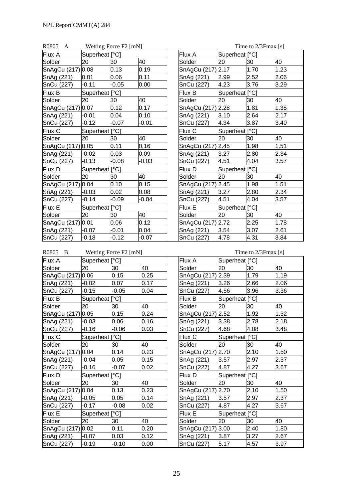| R0805<br>A        |                | Wetting Force F2 [mN] |         |                   |                   | Time to $2/3$ Fmax [s] |      |
|-------------------|----------------|-----------------------|---------|-------------------|-------------------|------------------------|------|
| Flux A            | Superheat [°C] |                       |         | Flux A            | Superheat [°C]    |                        |      |
| Solder            | 20             | 30                    | 40      | Solder            | 20                | 30                     | 40   |
| SnAgCu (217) 0.08 |                | 0.13                  | 0.19    | SnAgCu (217) 2.17 |                   | 1.70                   | 1.23 |
| SnAg (221)        | 0.01           | 0.06                  | 0.11    | SnAg (221)        | 2.99              | 2.52                   | 2.06 |
| SnCu (227)        | $-0.11$        | $-0.05$               | 0.00    | SnCu (227)        | 4.23              | 3.76                   | 3.29 |
| Flux B            | Superheat [°C] |                       |         | Flux B            | Superheat [°C]    |                        |      |
| Solder            | 20             | 30                    | 40      | Solder            | 20                | 30                     | 40   |
| SnAgCu (217) 0.07 |                | 0.12                  | 0.17    | SnAgCu (217) 2.28 |                   | 1.81                   | 1.35 |
| SnAg (221)        | $-0.01$        | 0.04                  | 0.10    | SnAg (221)        | 3.10              | 2.64                   | 2.17 |
| SnCu (227)        | $-0.12$        | $-0.07$               | $-0.01$ | SnCu (227)        | 4.34              | 3.87                   | 3.40 |
| Flux C            | Superheat [°C] |                       |         | Flux C            | Superheat [°C]    |                        |      |
| Solder            | 20             | 30                    | 40      | Solder            | 20                | 30                     | 40   |
| SnAgCu (217) 0.05 |                | 0.11                  | 0.16    | SnAgCu (217) 2.45 |                   | 1.98                   | 1.51 |
| SnAg (221)        | $-0.02$        | 0.03                  | 0.09    | SnAg (221)        | 3.27              | 2.80                   | 2.34 |
| SnCu (227)        | $-0.13$        | $-0.08$               | $-0.03$ | SnCu (227)        | 4.51              | 4.04                   | 3.57 |
| Flux D            | Superheat [°C] |                       |         | Flux D            | Superheat [°C]    |                        |      |
| Solder            | 20             | 30                    | 40      | Solder            | 20                | 30                     | 40   |
| SnAgCu (217)      | 0.04           | 0.10                  | 0.15    | SnAgCu (217) 2.45 |                   | 1.98                   | 1.51 |
| SnAg (221)        | $-0.03$        | 0.02                  | 0.08    | SnAg (221)        | 3.27              | 2.80                   | 2.34 |
| SnCu (227)        | $-0.14$        | $-0.09$               | $-0.04$ | SnCu (227)        | 4.51              | 4.04                   | 3.57 |
| Flux E            | Superheat [°C] |                       |         | Flux E            | Superheat [°C]    |                        |      |
| Solder            | 20             | 30                    | 40      | Solder            | 20                | 30                     | 40   |
| SnAgCu (217) 0.01 |                | 0.06                  | 0.12    | SnAgCu (217) 2.72 |                   | 2.25                   | 1.78 |
| SnAg (221)        | $-0.07$        | $-0.01$               | 0.04    | SnAg (221)        | 3.54              | 3.07                   | 2.61 |
| SnCu (227)        | $-0.18$        | $-0.12$               | $-0.07$ | SnCu (227)        | 4.78              | 4.31                   | 3.84 |
| R0805<br>B        |                | Wetting Force F2 [mN] |         |                   |                   | Time to 2/3Fmax [s]    |      |
| Flux A            | Superheat [°C] |                       |         | Flux A            | $S$ unarhaat $P1$ |                        |      |

|                              |                | $\lim_{\omega \to 0}$ or $\lim_{\omega \to 0}$ |      |
|------------------------------|----------------|------------------------------------------------|------|
| Flux A                       | Superheat [°C] |                                                |      |
| Solder                       | 20             | 30                                             | 40   |
| SnAgCu (217) 2.17            |                | 1.70                                           | 1.23 |
| SnAg (221)                   | 2.99           | 2.52                                           | 2.06 |
| SnCu (227)                   | 4.23           | 3.76                                           | 3.29 |
| Flux B                       | Superheat [°C] |                                                |      |
| Solder                       | 20             | 30                                             | 40   |
| SnAgCu (217) 2.28            |                | 1.81                                           | 1.35 |
| SnAg (221)                   | 3.10           | 2.64                                           | 2.17 |
| SnCu (227)                   | 4.34           | 3.87                                           | 3.40 |
| Flux C                       | Superheat [°C] |                                                |      |
| Solder                       | 20             | 30                                             | 40   |
| SnAgCu (217) <sup>2.45</sup> |                | 1.98                                           | 1.51 |
| SnAg (221)                   | 3.27           | 2.80                                           | 2.34 |
| SnCu (227)                   | 4.51           | 4.04                                           | 3.57 |
| Flux D                       | Superheat [°C] |                                                |      |
| Solder                       | 20             | 30                                             | 40   |
| SnAgCu (217) 2.45            |                | 1.98                                           | 1.51 |
| SnAg (221)                   | 3.27           | 2.80                                           | 2.34 |
| SnCu (227)                   | 4.51           | 4.04                                           | 3.57 |
| Flux E                       | Superheat [°C] |                                                |      |
| Solder                       | 20             | 30                                             | 40   |
| SnAgCu (217) 2.72            |                | 2.25                                           | 1.78 |
| SnAg (221)                   | 3.54           | 3.07                                           | 2.61 |
| SnCu (227)                   | 4.78           | 4.31                                           | 3.84 |

| R <sub>0</sub> 805<br>B |                | Wetting Force F2 [mN] |      |                              |                | Time to $2/3$ Fmax [s] |      |
|-------------------------|----------------|-----------------------|------|------------------------------|----------------|------------------------|------|
| Flux A                  | Superheat [°C] |                       |      | Flux A                       | Superheat [°C] |                        |      |
| Solder                  | 20             | 30                    | 40   | Solder                       | 20             | 30                     | 40   |
| SnAgCu (217) 0.06       |                | 0.15                  | 0.25 | SnAgCu (217) 2.39            |                | 1.79                   | 1.19 |
| SnAg (221)              | $-0.02$        | 0.07                  | 0.17 | SnAg (221)                   | 3.26           | 2.66                   | 2.06 |
| SnCu (227)              | $-0.15$        | $-0.05$               | 0.04 | SnCu (227)                   | 4.56           | 3.96                   | 3.36 |
| Flux B                  | Superheat [°C] |                       |      | Flux B                       | Superheat [°C] |                        |      |
| Solder                  | 20             | 30                    | 40   | Solder                       | 20             | 30                     | 40   |
| SnAgCu (217) 0.05       |                | 0.15                  | 0.24 | SnAgCu (217) 2.52            |                | 1.92                   | 1.32 |
| SnAg (221)              | $-0.03$        | 0.06                  | 0.16 | SnAg (221)                   | 3.38           | 2.78                   | 2.18 |
| SnCu (227)              | $-0.16$        | $-0.06$               | 0.03 | SnCu (227)                   | 4.68           | 4.08                   | 3.48 |
| Flux C                  | Superheat [°C] |                       |      | Flux C                       | Superheat [°C] |                        |      |
| Solder                  | 20             | 30                    | 40   | Solder                       | 20             | 30                     | 40   |
| SnAgCu (217) 0.04       |                | 0.14                  | 0.23 | SnAgCu (217) 2.70            |                | 2.10                   | 1.50 |
| SnAg (221)              | $-0.04$        | 0.05                  | 0.15 | SnAg (221)                   | 3.57           | 2.97                   | 2.37 |
| SnCu (227)              | $-0.16$        | $-0.07$               | 0.02 | SnCu (227)                   | 4.87           | 4.27                   | 3.67 |
| Flux D                  | Superheat [°C] |                       |      | Flux D                       | Superheat [°C] |                        |      |
| Solder                  | 20             | 30                    | 40   | Solder                       | 20             | 30                     | 40   |
| SnAgCu (217) 0.04       |                | 0.13                  | 0.23 | SnAgCu (217) 2.70            |                | 2.10                   | 1.50 |
| SnAg (221)              | $-0.05$        | 0.05                  | 0.14 | SnAg (221)                   | 3.57           | 2.97                   | 2.37 |
| SnCu (227)              | $-0.17$        | $-0.08$               | 0.02 | SnCu (227)                   | 4.87           | 4.27                   | 3.67 |
| Flux E                  | Superheat [°C] |                       |      | Flux E                       | Superheat [°C] |                        |      |
| Solder                  | 20             | 30                    | 40   | Solder                       | 20             | 30                     | 40   |
| SnAgCu (217) 0.02       |                | 0.11                  | 0.20 | SnAgCu (217) <sup>3.00</sup> |                | 2.40                   | 1.80 |
| SnAg (221)              | -0.07          | 0.03                  | 0.12 | SnAg (221)                   | 3.87           | 3.27                   | 2.67 |
| SnCu (227)              | $-0.19$        | $-0.10$               | 0.00 | SnCu (227)                   | 5.17           | 4.57                   | 3.97 |

25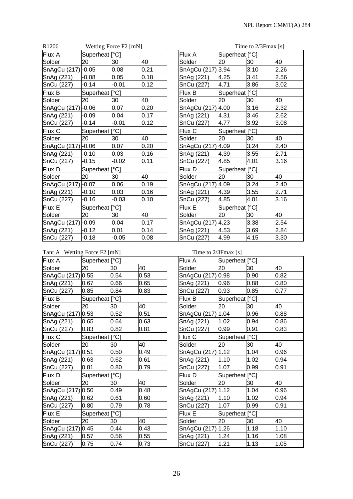| R1206             |                | Wetting Force F2 [mN] |      |                   |                | Time to $2/3$ Fmax [s] |      |
|-------------------|----------------|-----------------------|------|-------------------|----------------|------------------------|------|
| Flux A            | Superheat [°C] |                       |      | Flux A            | Superheat [°C] |                        |      |
| Solder            | 20             | 30                    | 40   | Solder            | 20             | 30                     | 40   |
| SnAgCu (217)-0.05 |                | 0.08                  | 0.21 | SnAgCu (217) 3.94 |                | 3.10                   | 2.26 |
| SnAg (221)        | $-0.08$        | 0.05                  | 0.18 | SnAg (221)        | 4.25           | 3.41                   | 2.56 |
| SnCu (227)        | $-0.14$        | $-0.01$               | 0.12 | SnCu (227)        | 4.71           | 3.86                   | 3.02 |
| Flux B            | Superheat [°C] |                       |      | Flux B            | Superheat [°C] |                        |      |
| Solder            | 20             | 30                    | 40   | Solder            | 20             | 30                     | 40   |
| SnAgCu (217)-0.06 |                | 0.07                  | 0.20 | SnAgCu (217) 4.00 |                | 3.16                   | 2.32 |
| SnAg (221)        | $-0.09$        | 0.04                  | 0.17 | SnAg (221)        | 4.31           | 3.46                   | 2.62 |
| SnCu (227)        | -0.14          | $-0.01$               | 0.12 | SnCu (227)        | 4.77           | 3.92                   | 3.08 |
| Flux C            | Superheat [°C] |                       |      | Flux C            | Superheat [°C] |                        |      |
| Solder            | 20             | 30                    | 40   | Solder            | 20             | 30                     | 40   |
| SnAgCu (217)-0.06 |                | 0.07                  | 0.20 | SnAgCu (217) 4.09 |                | 3.24                   | 2.40 |
| SnAg (221)        | $-0.10$        | 0.03                  | 0.16 | SnAg (221)        | 4.39           | 3.55                   | 2.71 |
| SnCu (227)        | $-0.15$        | $-0.02$               | 0.11 | SnCu (227)        | 4.85           | 4.01                   | 3.16 |
| Flux D            | Superheat [°C] |                       |      | Flux D            | Superheat [°C] |                        |      |
| Solder            | 20             | 30                    | 40   | Solder            | 20             | 30                     | 40   |
| SnAgCu (217)-0.07 |                | 0.06                  | 0.19 | SnAgCu (217) 4.09 |                | 3.24                   | 2.40 |
| SnAg (221)        | $-0.10$        | 0.03                  | 0.16 | SnAg (221)        | 4.39           | 3.55                   | 2.71 |
| SnCu (227)        | $-0.16$        | $-0.03$               | 0.10 | SnCu (227)        | 4.85           | 4.01                   | 3.16 |
| Flux E            | Superheat [°C] |                       |      | Flux E            | Superheat [°C] |                        |      |
| Solder            | 20             | 30                    | 40   | Solder            | 20             | 30                     | 40   |
| SnAgCu (217)-0.09 |                | 0.04                  | 0.17 | SnAgCu (217) 4.23 |                | 3.38                   | 2.54 |
| SnAg (221)        | $-0.12$        | 0.01                  | 0.14 | SnAg (221)        | 4.53           | 3.69                   | 2.84 |
| SnCu (227)        | $-0.18$        | $-0.05$               | 0.08 | SnCu (227)        | 4.99           | 4.15                   | 3.30 |

| Tant A Wetting Force F2 [mN] |                |      |      | Time to 2/3Fmax [s] |                |      |      |
|------------------------------|----------------|------|------|---------------------|----------------|------|------|
| Flux A                       | Superheat [°C] |      |      | Flux A              | Superheat [°C] |      |      |
| Solder                       | 20             | 30   | 40   | Solder              | 20             | 30   | 40   |
| SnAgCu (217) 0.55            |                | 0.54 | 0.53 | SnAgCu (217) 0.98   |                | 0.90 | 0.82 |
| SnAg (221)                   | 0.67           | 0.66 | 0.65 | SnAg (221)          | 0.96           | 0.88 | 0.80 |
| SnCu (227)                   | 0.85           | 0.84 | 0.83 | SnCu (227)          | 0.93           | 0.85 | 0.77 |
| Flux B                       | Superheat [°C] |      |      | Flux B              | Superheat [°C] |      |      |
| Solder                       | 20             | 30   | 40   | Solder              | 20             | 30   | 40   |
| SnAgCu (217) 0.53            |                | 0.52 | 0.51 | SnAgCu (217) 1.04   |                | 0.96 | 0.88 |
| SnAg (221)                   | 0.65           | 0.64 | 0.63 | SnAg (221)          | 1.02           | 0.94 | 0.86 |
| SnCu (227)                   | 0.83           | 0.82 | 0.81 | SnCu (227)          | 0.99           | 0.91 | 0.83 |
| Flux C                       | Superheat [°C] |      |      | Flux C              | Superheat [°C] |      |      |
| Solder                       | 20             | 30   | 40   | Solder              | 20             | 30   | 40   |
| SnAgCu (217) 0.51            |                | 0.50 | 0.49 | SnAgCu (217) 1.12   |                | 1.04 | 0.96 |
| SnAg (221)                   | 0.63           | 0.62 | 0.61 | SnAg (221)          | 1.10           | 1.02 | 0.94 |
| SnCu (227)                   | 0.81           | 0.80 | 0.79 | SnCu (227)          | 1.07           | 0.99 | 0.91 |
| Flux D                       | Superheat [°C] |      |      | Flux D              | Superheat [°C] |      |      |
| Solder                       | 20             | 30   | 40   | Solder              | 20             | 30   | 40   |
| SnAgCu (217) 0.50            |                | 0.49 | 0.48 | SnAgCu (217) 1.12   |                | 1.04 | 0.96 |
| SnAg (221)                   | 0.62           | 0.61 | 0.60 | SnAg (221)          | 1.10           | 1.02 | 0.94 |
| SnCu (227)                   | 0.80           | 0.79 | 0.78 | SnCu (227)          | 1.07           | 0.99 | 0.91 |
| Flux E                       | Superheat [°C] |      |      | Flux E              | Superheat [°C] |      |      |
| Solder                       | 20             | 30   | 40   | Solder              | 20             | 30   | 40   |
| SnAgCu (217) 0.45            |                | 0.44 | 0.43 | SnAgCu (217) 1.26   |                | 1.18 | 1.10 |
| SnAg (221)                   | 0.57           | 0.56 | 0.55 | SnAg (221)          | 1.24           | 1.16 | 1.08 |
| SnCu (227)                   | 0.75           | 0.74 | 0.73 | SnCu (227)          | 1.21           | 1.13 | 1.05 |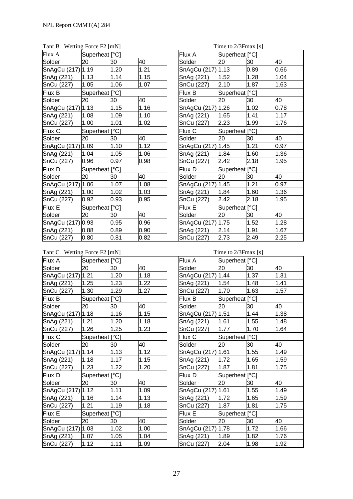| Tant B            | Wetting Force F2 [mN] |      |      |                    | Time to 2/3Fmax [s] |      |      |
|-------------------|-----------------------|------|------|--------------------|---------------------|------|------|
| Flux A            | Superheat [°C]        |      |      | Flux A             | Superheat [°C]      |      |      |
| Solder            | 20                    | 30   | 40   | Solder             | 20                  | 30   | 40   |
| SnAgCu (217) 1.19 |                       | 1.20 | 1.21 | SnAgCu (217) 1.13  |                     | 0.89 | 0.66 |
| SnAg (221)        | 1.13                  | 1.14 | 1.15 | SnAg (221)         | 1.52                | 1.28 | 1.04 |
| SnCu (227)        | 1.05                  | 1.06 | 1.07 | SnCu (227)         | 2.10                | 1.87 | 1.63 |
| Flux B            | Superheat [°C]        |      |      | Flux B             | Superheat [°C]      |      |      |
| Solder            | 20                    | 30   | 40   | Solder             | 20                  | 30   | 40   |
| SnAgCu (217) 1.13 |                       | 1.15 | 1.16 | SnAgCu (217) 1.26  |                     | 1.02 | 0.78 |
| SnAg (221)        | 1.08                  | 1.09 | 1.10 | SnAg (221)         | 1.65                | 1.41 | 1.17 |
| SnCu (227)        | 1.00                  | 1.01 | 1.02 | SnCu (227)         | 2.23                | 1.99 | 1.76 |
| Flux C            | Superheat [°C]        |      |      | Flux C             | Superheat [°C]      |      |      |
| Solder            | 20                    | 30   | 40   | Solder             | 20                  | 30   | 40   |
| SnAgCu (217) 1.09 |                       | 1.10 | 1.12 | SnAgCu (217) 1.45  |                     | 1.21 | 0.97 |
| SnAg (221)        | 1.04                  | 1.05 | 1.06 | SnAg (221)         | 1.84                | 1.60 | 1.36 |
| SnCu (227)        | 0.96                  | 0.97 | 0.98 | SnCu (227)         | 2.42                | 2.18 | 1.95 |
| Flux D            | Superheat [°C]        |      |      | Flux D             | Superheat [°C]      |      |      |
| Solder            | 20                    | 30   | 40   | Solder             | 20                  | 30   | 40   |
| SnAgCu (217) 1.06 |                       | 1.07 | 1.08 | SnAgCu (217) 1.45  |                     | 1.21 | 0.97 |
| SnAg (221)        | 1.00                  | 1.02 | 1.03 | SnAg (221)         | 1.84                | 1.60 | 1.36 |
| SnCu (227)        | 0.92                  | 0.93 | 0.95 | SnCu (227)         | 2.42                | 2.18 | 1.95 |
| Flux E            | Superheat [°C]        |      |      | Flux E             | Superheat [°C]      |      |      |
| Solder            | 20                    | 30   | 40   | Solder             | 20                  | 30   | 40   |
| SnAgCu (217) 0.93 |                       | 0.95 | 0.96 | lSnAgCu (217)∣1 75 |                     | 1.52 | 1 28 |

| Tant B Wetting Force F2 [mN]<br>Time to 2/3Fmax [s] |                |      |      |                   |                |      |      |  |  |  |
|-----------------------------------------------------|----------------|------|------|-------------------|----------------|------|------|--|--|--|
| Flux A                                              | Superheat [°C] |      |      | Flux A            | Superheat [°C] |      |      |  |  |  |
| Solder                                              | 20             | 30   | 40   | Solder            | 20             | 30   | 40   |  |  |  |
| SnAgCu (217) 1.19                                   |                | 1.20 | 1.21 | SnAgCu (217) 1.13 |                | 0.89 | 0.66 |  |  |  |
| SnAg (221)                                          | 1.13           | 1.14 | 1.15 | SnAg (221)        | 1.52           | 1.28 | 1.04 |  |  |  |
| SnCu (227)                                          | 1.05           | 1.06 | 1.07 | SnCu (227)        | 2.10           | 1.87 | 1.63 |  |  |  |
| Flux B                                              | Superheat [°C] |      |      | Flux B            | Superheat [°C] |      |      |  |  |  |
| Solder                                              | 20             | 30   | 40   | Solder            | 20             | 30   | 40   |  |  |  |
| SnAgCu (217) 1.13                                   |                | 1.15 | 1.16 | SnAgCu (217) 1.26 |                | 1.02 | 0.78 |  |  |  |
| SnAg (221)                                          | 1.08           | 1.09 | 1.10 | SnAg (221)        | 1.65           | 1.41 | 1.17 |  |  |  |
| SnCu (227)                                          | 1.00           | 1.01 | 1.02 | SnCu (227)        | 2.23           | 1.99 | 1.76 |  |  |  |
| Flux C                                              | Superheat [°C] |      |      | Flux C            | Superheat [°C] |      |      |  |  |  |
| Solder                                              | 20             | 30   | 40   | Solder            | 20             | 30   | 40   |  |  |  |
| SnAgCu (217) 1.09                                   |                | 1.10 | 1.12 | SnAgCu (217) 1.45 |                | 1.21 | 0.97 |  |  |  |
| SnAg (221)                                          | 1.04           | 1.05 | 1.06 | SnAg (221)        | 1.84           | 1.60 | 1.36 |  |  |  |
| SnCu (227)                                          | 0.96           | 0.97 | 0.98 | SnCu (227)        | 2.42           | 2.18 | 1.95 |  |  |  |
| Flux D                                              | Superheat [°C] |      |      | Flux D            | Superheat [°C] |      |      |  |  |  |
| Solder                                              | 20             | 30   | 40   | Solder            | 20             | 30   | 40   |  |  |  |
| SnAgCu (217) 1.06                                   |                | 1.07 | 1.08 | SnAgCu (217) 1.45 |                | 1.21 | 0.97 |  |  |  |
| SnAg (221)                                          | 1.00           | 1.02 | 1.03 | SnAg (221)        | 1.84           | 1.60 | 1.36 |  |  |  |
| SnCu (227)                                          | 0.92           | 0.93 | 0.95 | SnCu (227)        | 2.42           | 2.18 | 1.95 |  |  |  |
| Flux E                                              | Superheat [°C] |      |      | Flux E            | Superheat [°C] |      |      |  |  |  |
| Solder                                              | 20             | 30   | 40   | Solder            | 20             | 30   | 40   |  |  |  |
| SnAgCu (217) 0.93                                   |                | 0.95 | 0.96 | SnAgCu (217) 1.75 |                | 1.52 | 1.28 |  |  |  |
| SnAg (221)                                          | 0.88           | 0.89 | 0.90 | SnAg (221)        | 2.14           | 1.91 | 1.67 |  |  |  |
| SnCu (227)                                          | 0.80           | 0.81 | 0.82 | SnCu (227)        | 2.73           | 2.49 | 2.25 |  |  |  |

| Tant C Wetting Force F2 [mN] |                |      |      | Time to 2/3Fmax [s]      |                |      |      |  |
|------------------------------|----------------|------|------|--------------------------|----------------|------|------|--|
| Flux A                       | Superheat [°C] |      |      | Flux A                   | Superheat [°C] |      |      |  |
| Solder                       | 20             | 30   | 40   | Solder                   | 20             | 30   | 40   |  |
| SnAgCu (217) 1.21            |                | 1.20 | 1.18 | SnAgCu (217)             | 1.44           | 1.37 | 1.31 |  |
| SnAg (221)                   | 1.25           | 1.23 | 1.22 | SnAg (221)               | 1.54           | 1.48 | 1.41 |  |
| SnCu (227)                   | 1.30           | 1.29 | 1.27 | SnCu (227)               | 1.70           | 1.63 | 1.57 |  |
| Flux B                       | Superheat [°C] |      |      | Flux B                   | Superheat [°C] |      |      |  |
| Solder                       | 20             | 30   | 40   | Solder                   | 20             | 30   | 40   |  |
| SnAgCu (217) 1.18            |                | 1.16 | 1.15 | SnAgCu (217)             | 1.51           | 1.44 | 1.38 |  |
| SnAg (221)                   | 1.21           | 1.20 | 1.18 | SnAg (221)               | 1.61           | 1.55 | 1.48 |  |
| SnCu (227)                   | 1.26           | 1.25 | 1.23 | SnCu (227)               | 1.77           | 1.70 | 1.64 |  |
| Flux C                       | Superheat [°C] |      |      | Flux C<br>Superheat [°C] |                |      |      |  |
| Solder                       | 20             | 30   | 40   | Solder                   | 20             | 30   | 40   |  |
| SnAgCu (217) 1.14            |                | 1.13 | 1.12 | SnAgCu (217)             | 1.61           | 1.55 | 1.49 |  |
| SnAg (221)                   | 1.18           | 1.17 | 1.15 | SnAg (221)               | 1.72           | 1.65 | 1.59 |  |
| SnCu (227)                   | 1.23           | 1.22 | 1.20 | SnCu (227)               | 1.87           | 1.81 | 1.75 |  |
| Flux D                       | Superheat [°C] |      |      | Flux D                   | Superheat [°C] |      |      |  |
| Solder                       | 20             | 30   | 40   | Solder                   | 20             | 30   | 40   |  |
| SnAgCu (217) 1.12            |                | 1.11 | 1.09 | SnAgCu (217)             | 1.61           | 1.55 | 1.49 |  |
| SnAg (221)                   | 1.16           | 1.14 | 1.13 | SnAg (221)               | 1.72           | 1.65 | 1.59 |  |
| SnCu (227)                   | 1.21           | 1.19 | 1.18 | SnCu (227)               | 1.87           | 1.81 | 1.75 |  |
| Flux E                       | Superheat [°C] |      |      | Flux E                   | Superheat [°C] |      |      |  |
| Solder                       | 20             | 30   | 40   | Solder                   | 20             | 30   | 40   |  |
| SnAgCu (217) 1.03            |                | 1.02 | 1.00 | SnAgCu (217)             | 1.78           | 1.72 | 1.66 |  |
| SnAg (221)                   | 1.07           | 1.05 | 1.04 | SnAg (221)               | 1.89           | 1.82 | 1.76 |  |
| SnCu (227)                   | 1.12           | 1.11 | 1.09 | SnCu (227)               | 2.04           | 1.98 | 1.92 |  |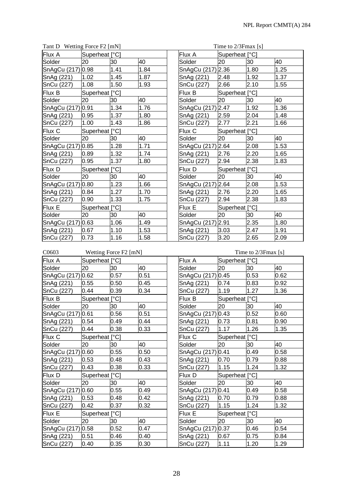| Tant D Wetting Force F2 [mN] |                |                       |      |                   | Time to 2/3Fmax [s] |                     |      |
|------------------------------|----------------|-----------------------|------|-------------------|---------------------|---------------------|------|
| Flux A                       | Superheat [°C] |                       |      | Flux A            | Superheat [°C]      |                     |      |
| Solder                       | 20             | 30                    | 40   | Solder            | 20                  | 30                  | 40   |
| SnAgCu (217) 0.98            |                | 1.41                  | 1.84 | SnAgCu (217)      | 2.36                | 1.80                | 1.25 |
| SnAg (221)                   | 1.02           | 1.45                  | 1.87 | SnAg (221)        | 2.48                | 1.92                | 1.37 |
| SnCu (227)                   | 1.08           | 1.50                  | 1.93 | SnCu (227)        | 2.66                | 2.10                | 1.55 |
| Flux B                       | Superheat [°C] |                       |      | Flux B            | Superheat [°C]      |                     |      |
| Solder                       | 20             | 30                    | 40   | Solder            | 20                  | 30                  | 40   |
| SnAgCu (217) 0.91            |                | 1.34                  | 1.76 | SnAgCu (217) 2.47 |                     | 1.92                | 1.36 |
| SnAg (221)                   | 0.95           | 1.37                  | 1.80 | SnAg (221)        | 2.59                | 2.04                | 1.48 |
| SnCu (227)                   | 1.00           | 1.43                  | 1.86 | SnCu (227)        | 2.77                | 2.21                | 1.66 |
| Flux C                       | Superheat [°C] |                       |      | Flux C            | Superheat [°C]      |                     |      |
| Solder                       | 20             | 30                    | 40   | Solder            | 20                  | 30                  | 40   |
| SnAgCu (217) 0.85            |                | 1.28                  | 1.71 | SnAgCu (217)      | 2.64                | 2.08                | 1.53 |
| SnAg (221)                   | 0.89           | 1.32                  | 1.74 | SnAg (221)        | 2.76                | 2.20                | 1.65 |
| SnCu (227)                   | 0.95           | 1.37                  | 1.80 | SnCu (227)        | 2.94                | 2.38                | 1.83 |
| Flux D                       | Superheat [°C] |                       |      | Flux D            | Superheat [°C]      |                     |      |
| Solder                       | 20             | 30                    | 40   | Solder            | 20                  | 30                  | 40   |
| SnAgCu (217) 0.80            |                | 1.23                  | 1.66 | SnAgCu (217) 2.64 |                     | 2.08                | 1.53 |
| SnAg (221)                   | 0.84           | 1.27                  | 1.70 | SnAg (221)        | 2.76                | 2.20                | 1.65 |
| SnCu (227)                   | 0.90           | 1.33                  | 1.75 | SnCu (227)        | 2.94                | 2.38                | 1.83 |
| Flux E                       | Superheat [°C] |                       |      | Flux E            | Superheat [°C]      |                     |      |
| Solder                       | 20             | 30                    | 40   | Solder            | 20                  | 30                  | 40   |
| SnAgCu (217) 0.63            |                | 1.06                  | 1.49 | SnAgCu (217)      | 2.91                | 2.35                | 1.80 |
| SnAg (221)                   | 0.67           | 1.10                  | 1.53 | SnAg (221)        | 3.03                | 2.47                | 1.91 |
| SnCu (227)                   | 0.73           | 1.16                  | 1.58 | SnCu (227)        | 3.20                | 2.65                | 2.09 |
| C <sub>06</sub> 03           |                | Wetting Force F2 [mN] |      |                   |                     | Time to 2/3Fmax [s] |      |
| Flux A                       | Superheat [°C] |                       |      | Flux A            | Superheat [°C]      |                     |      |
| Solder                       | 20             | 30                    | 40   | Solder            | 20                  | 30                  | 40   |

| Flux A            | Superheat [°C] |      |      | Flux A       | Superheat [°C] |      |      |
|-------------------|----------------|------|------|--------------|----------------|------|------|
| Solder            | 20             | 30   | 40   | Solder       | 20             | 30   | 40   |
| SnAgCu (217) 0.62 |                | 0.57 | 0.51 | SnAgCu (217) | 0.45           | 0.53 | 0.62 |
| SnAg (221)        | 0.55           | 0.50 | 0.45 | SnAg (221)   | 0.74           | 0.83 | 0.92 |
| SnCu (227)        | 0.44           | 0.39 | 0.34 | SnCu (227)   | 1.19           | 1.27 | 1.36 |
| Flux B            | Superheat [°C] |      |      | Flux B       | Superheat [°C] |      |      |
| Solder            | 20             | 30   | 40   | Solder       | 20             | 30   | 40   |
| SnAgCu (217)      | 0.61           | 0.56 | 0.51 | SnAgCu (217) | 0.43           | 0.52 | 0.60 |
| SnAg (221)        | 0.54           | 0.49 | 0.44 | SnAg (221)   | 0.73           | 0.81 | 0.90 |
| SnCu (227)        | 0.44           | 0.38 | 0.33 | SnCu (227)   | 1.17           | 1.26 | 1.35 |
| Flux C            | Superheat [°C] |      |      | Flux C       | Superheat [°C] |      |      |
| Solder            | 20             | 30   | 40   | Solder       | 20             | 30   | 40   |
| SnAgCu (217) 0.60 |                | 0.55 | 0.50 | SnAgCu (217) | 0.41           | 0.49 | 0.58 |
| SnAg (221)        | 0.53           | 0.48 | 0.43 | SnAg (221)   | 0.70           | 0.79 | 0.88 |
| SnCu (227)        | 0.43           | 0.38 | 0.33 | SnCu (227)   | 1.15           | 1.24 | 1.32 |
| Flux D            | Superheat [°C] |      |      | Flux D       | Superheat [°C] |      |      |
| Solder            | 20             | 30   | 40   | Solder       | 20             | 30   | 40   |
| SnAgCu (217) 0.60 |                | 0.55 | 0.49 | SnAgCu (217) | 0.41           | 0.49 | 0.58 |
| SnAg (221)        | 0.53           | 0.48 | 0.42 | SnAg (221)   | 0.70           | 0.79 | 0.88 |
| SnCu (227)        | 0.42           | 0.37 | 0.32 | SnCu (227)   | 1.15           | 1.24 | 1.32 |
| Flux E            | Superheat [°C] |      |      | Flux E       | Superheat [°C] |      |      |
| Solder            | 20             | 30   | 40   | Solder       | 20             | 30   | 40   |
| SnAgCu (217) 0.58 |                | 0.52 | 0.47 | SnAgCu (217) | 0.37           | 0.46 | 0.54 |
| SnAg (221)        | 0.51           | 0.46 | 0.40 | SnAg (221)   | 0.67           | 0.75 | 0.84 |
| SnCu (227)        | 0.40           | 0.35 | 0.30 | SnCu (227)   | 1.11           | 1.20 | 1.29 |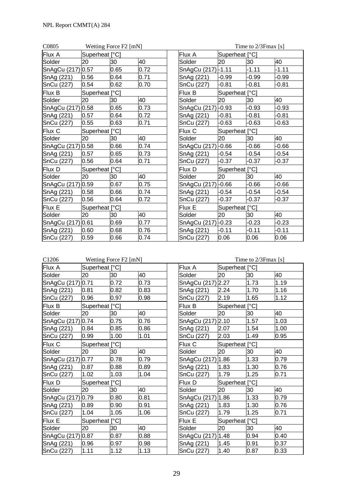| C0805             |                | Wetting Force F2 [mN] |      |                   |                | Time to 2/3Fmax [s] |         |  |
|-------------------|----------------|-----------------------|------|-------------------|----------------|---------------------|---------|--|
| Flux A            | Superheat [°C] |                       |      | Flux A            | Superheat [°C] |                     |         |  |
| Solder            | 20             | 30                    | 40   | Solder            | 20             | 30                  | 40      |  |
| SnAgCu (217)      | 0.57           | 0.65                  | 0.72 | SnAgCu (217)      | $-1.11$        | $-1.11$             | $-1.11$ |  |
| SnAg (221)        | 0.56           | 0.64                  | 0.71 | SnAg (221)        | $-0.99$        | $-0.99$             | $-0.99$ |  |
| SnCu (227)        | 0.54           | 0.62                  | 0.70 | SnCu (227)        | $-0.81$        | $-0.81$             | -0.81   |  |
| Flux B            | Superheat [°C] |                       |      | Flux B            | Superheat [°C] |                     |         |  |
| Solder            | 20             | 30                    | 40   | Solder            | 20             | 30                  | 40      |  |
| SnAgCu (217)      | 0.58           | 0.65                  | 0.73 | SnAgCu (217)      | $-0.93$        | $-0.93$             | $-0.93$ |  |
| SnAg (221)        | 0.57           | 0.64                  | 0.72 | SnAg (221)        | -0.81          | $-0.81$             | $-0.81$ |  |
| SnCu (227)        | 0.55           | 0.63                  | 0.71 | SnCu (227)        | $-0.63$        | $-0.63$             | $-0.63$ |  |
| Flux C            | Superheat [°C] |                       |      | Flux C            | Superheat [°C] |                     |         |  |
| Solder            | 20             | 30                    | 40   | Solder            | 20             | 30                  | 40      |  |
| SnAgCu (217) 0.58 |                | 0.66                  | 0.74 | SnAgCu (217)-0.66 |                | $-0.66$             | $-0.66$ |  |
| SnAg (221)        | 0.57           | 0.65                  | 0.73 | SnAg (221)        | $-0.54$        | $-0.54$             | $-0.54$ |  |
| SnCu (227)        | 0.56           | 0.64                  | 0.71 | SnCu (227)        | $-0.37$        | $-0.37$             | -0.37   |  |
| Flux D            | Superheat [°C] |                       |      | Flux D            | Superheat [°C] |                     |         |  |
| Solder            | 20             | 30                    | 40   | Solder            | 20             | 30                  | 40      |  |
| SnAgCu (217)      | 0.59           | 0.67                  | 0.75 | SnAgCu (217)-0.66 |                | $-0.66$             | $-0.66$ |  |
| SnAg (221)        | 0.58           | 0.66                  | 0.74 | SnAg (221)        | $-0.54$        | -0.54               | -0.54   |  |
| SnCu (227)        | 0.56           | 0.64                  | 0.72 | SnCu (227)        | $-0.37$        | $-0.37$             | -0.37   |  |
| Flux E            | Superheat [°C] |                       |      | Flux E            | Superheat [°C] |                     |         |  |
| Solder            | 20             | 30                    | 40   | Solder            | 20             | 30                  | 40      |  |
| SnAgCu (217) 0.61 |                | 0.69                  | 0.77 | SnAgCu (217)-0.23 |                | $-0.23$             | $-0.23$ |  |
| SnAg (221)        | 0.60           | 0.68                  | 0.76 | SnAg (221)        | $-0.11$        | $-0.11$             | $-0.11$ |  |
| SnCu (227)        | 0.59           | 0.66                  | 0.74 | SnCu (227)        | 0.06           | 0.06                | 0.06    |  |

| C <sub>1206</sub> |                | Wetting Force F2 [mN] |      |                   |                | Time to 2/3Fmax [s] |      |
|-------------------|----------------|-----------------------|------|-------------------|----------------|---------------------|------|
| Flux A            | Superheat [°C] |                       |      | Flux A            | Superheat [°C] |                     |      |
| Solder            | 20             | 30                    | 40   | Solder            | 20             | 30                  | 40   |
| SnAgCu (217) 0.71 |                | 0.72                  | 0.73 | SnAgCu (217) 2.27 |                | 1.73                | 1.19 |
| SnAg (221)        | 0.81           | 0.82                  | 0.83 | SnAg (221)        | 2.24           | 1.70                | 1.16 |
| SnCu (227)        | 0.96           | 0.97                  | 0.98 | SnCu (227)        | 2.19           | 1.65                | 1.12 |
| Flux B            | Superheat [°C] |                       |      | Flux B            | Superheat [°C] |                     |      |
| Solder            | 20             | 30                    | 40   | Solder            | 20             | 30                  | 40   |
| SnAgCu (217) 0.74 |                | 0.75                  | 0.76 | SnAgCu (217) 2.10 |                | 1.57                | 1.03 |
| SnAg (221)        | 0.84           | 0.85                  | 0.86 | SnAg (221)        | 2.07           | 1.54                | 1.00 |
| SnCu (227)        | 0.99           | 1.00                  | 1.01 | SnCu (227)        | 2.03           | 1.49                | 0.95 |
| Flux C            | Superheat [°C] |                       |      | Flux C            | Superheat [°C] |                     |      |
| Solder            | 20             | 30                    | 40   | Solder            | 20             | 30                  | 40   |
| SnAgCu (217) 0.77 |                | 0.78                  | 0.79 | SnAgCu (217)      | 1.86           | 1.33                | 0.79 |
| SnAg (221)        | 0.87           | 0.88                  | 0.89 | SnAg (221)        | 1.83           | 1.30                | 0.76 |
| SnCu (227)        | 1.02           | 1.03                  | 1.04 | SnCu (227)        | 1.79           | 1.25                | 0.71 |
| Flux D            | Superheat [°C] |                       |      | Flux D            | Superheat [°C] |                     |      |
| Solder            | 20             | 30                    | 40   | Solder            | 20             | 30                  | 40   |
| SnAgCu (217) 0.79 |                | 0.80                  | 0.81 | SnAgCu (217)      | 1.86           | 1.33                | 0.79 |
| SnAg (221)        | 0.89           | 0.90                  | 0.91 | SnAg (221)        | 1.83           | 1.30                | 0.76 |
| SnCu (227)        | 1.04           | 1.05                  | 1.06 | SnCu (227)        | 1.79           | 1.25                | 0.71 |
| Flux E            | Superheat [°C] |                       |      | Flux E            | Superheat [°C] |                     |      |
| Solder            | 20             | 30                    | 40   | Solder            | 20             | 30                  | 40   |
| SnAgCu (217) 0.87 |                | 0.87                  | 0.88 | SnAgCu (217)      | 1.48           | 0.94                | 0.40 |
| SnAg (221)        | 0.96           | 0.97                  | 0.98 | SnAg (221)        | 1.45           | 0.91                | 0.37 |
| SnCu (227)        | 1.11           | 1.12                  | 1.13 | SnCu (227)        | 1.40           | 0.87                | 0.33 |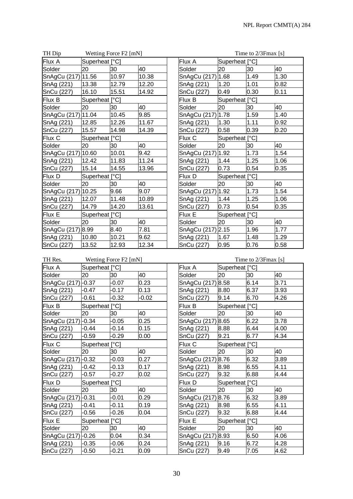| TH Dip             |                | Wetting Force F2 [mN] |       |                   |                | Time to 2/3Fmax [s] |      |
|--------------------|----------------|-----------------------|-------|-------------------|----------------|---------------------|------|
| Flux A             | Superheat [°C] |                       |       | Flux A            | Superheat [°C] |                     |      |
| Solder             | 20             | 30                    | 40    | Solder            | 20             | 30                  | 40   |
| SnAgCu (217) 11.56 |                | 10.97                 | 10.38 | SnAgCu (217) 1.68 |                | 1.49                | 1.30 |
| SnAg (221)         | 13.38          | 12.79                 | 12.20 | SnAg (221)        | 1.20           | 1.01                | 0.82 |
| SnCu (227)         | 16.10          | 15.51                 | 14.92 | SnCu (227)        | 0.49           | 0.30                | 0.11 |
| Flux B             | Superheat [°C] |                       |       | Flux B            | Superheat [°C] |                     |      |
| Solder             | 20             | 30                    | 40    | Solder            | 20             | 30                  | 40   |
| SnAgCu (217) 11.04 |                | 10.45                 | 9.85  | SnAgCu (217) 1.78 |                | 1.59                | 1.40 |
| SnAg (221)         | 12.85          | 12.26                 | 11.67 | SnAg (221)        | 1.30           | 1.11                | 0.92 |
| SnCu (227)         | 15.57          | 14.98                 | 14.39 | SnCu (227)        | 0.58           | 0.39                | 0.20 |
| Flux C             | Superheat [°C] |                       |       | Flux C            | Superheat [°C] |                     |      |
| Solder             | 20             | 30                    | 40    | Solder            | 20             | 30                  | 40   |
| SnAgCu (217) 10.60 |                | 10.01                 | 9.42  | SnAgCu (217) 1.92 |                | 1.73                | 1.54 |
| SnAg (221)         | 12.42          | 11.83                 | 11.24 | SnAg (221)        | 1.44           | 1.25                | 1.06 |
| SnCu (227)         | 15.14          | 14.55                 | 13.96 | SnCu (227)        | 0.73           | 0.54                | 0.35 |
| Flux D             | Superheat [°C] |                       |       | Flux D            | Superheat [°C] |                     |      |
| Solder             | 20             | 30                    | 40    | Solder            | 20             | 30                  | 40   |
| SnAgCu (217) 10.25 |                | 9.66                  | 9.07  | SnAgCu (217) 1.92 |                | 1.73                | 1.54 |
| SnAg (221)         | 12.07          | 11.48                 | 10.89 | SnAg (221)        | 1.44           | 1.25                | 1.06 |
| SnCu (227)         | 14.79          | 14.20                 | 13.61 | SnCu (227)        | 0.73           | 0.54                | 0.35 |
| Flux E             | Superheat [°C] |                       |       | Flux E            | Superheat [°C] |                     |      |
| Solder             | 20             | 30                    | 40    | Solder            | 20             | 30                  | 40   |
| SnAgCu (217) 8.99  |                | 8.40                  | 7.81  | SnAgCu (217) 2.15 |                | 1.96                | 1.77 |
| SnAg (221)         | 10.80          | 10.21                 | 9.62  | SnAg (221)        | 1.67           | 1.48                | 1.29 |
| SnCu (227)         | 13.52          | 12.93                 | 12.34 | SnCu (227)        | 0.95           | 0.76                | 0.58 |

| TH Res. | Wetting Force F2 [mN] |  | Time to $2/3$ Fmax [s] |
|---------|-----------------------|--|------------------------|
|         |                       |  |                        |

|  | Time to 2/3Fm |  |  |  |  |
|--|---------------|--|--|--|--|
|  |               |  |  |  |  |

| Flux A              | Superheat [°C] |         |         | Flux A            | Superheat [°C] |      |      |
|---------------------|----------------|---------|---------|-------------------|----------------|------|------|
| Solder              | 20             | 30      | 40      | Solder            | 20             | 30   | 40   |
| SnAgCu (217) - 0.37 |                | $-0.07$ | 0.23    | SnAgCu (217)8.58  |                | 6.14 | 3.71 |
| SnAg (221)          | $-0.47$        | $-0.17$ | 0.13    | SnAg (221)        | 8.80           | 6.37 | 3.93 |
| SnCu (227)          | $-0.61$        | $-0.32$ | $-0.02$ | SnCu (227)        | 9.14           | 6.70 | 4.26 |
| Flux B              | Superheat [°C] |         |         | Flux B            | Superheat [°C] |      |      |
| Solder              | 20             | 30      | 40      | Solder            | 20             | 30   | 40   |
| SnAgCu (217)-0.34   |                | $-0.05$ | 0.25    | SnAgCu (217)8.65  |                | 6.22 | 3.78 |
| SnAg (221)          | $-0.44$        | $-0.14$ | 0.15    | SnAg (221)        | 8.88           | 6.44 | 4.00 |
| SnCu (227)          | $-0.59$        | $-0.29$ | 0.00    | SnCu (227)        | 9.21           | 6.77 | 4.34 |
| Flux C              | Superheat [°C] |         |         | Flux C            | Superheat [°C] |      |      |
| Solder              | 20             | 30      | 40      | Solder            | 20             | 30   | 40   |
| SnAgCu (217)-0.32   |                | $-0.03$ | 0.27    | SnAgCu (217) 8.76 |                | 6.32 | 3.89 |
| SnAg (221)          | $-0.42$        | $-0.13$ | 0.17    | SnAg (221)        | 8.98           | 6.55 | 4.11 |
| SnCu (227)          | $-0.57$        | $-0.27$ | 0.02    | SnCu (227)        | 9.32           | 6.88 | 4.44 |
| Flux D              | Superheat [°C] |         |         | Flux D            | Superheat [°C] |      |      |
| Solder              | 20             | 30      | 40      | Solder            | 20             | 30   | 40   |
| SnAgCu (217) -0.31  |                | $-0.01$ | 0.29    | SnAgCu (217) 8.76 |                | 6.32 | 3.89 |
| SnAg (221)          | $-0.41$        | $-0.11$ | 0.19    | SnAg (221)        | 8.98           | 6.55 | 4.11 |
| SnCu (227)          | $-0.56$        | $-0.26$ | 0.04    | SnCu (227)        | 9.32           | 6.88 | 4.44 |
| Flux E              | Superheat [°C] |         |         | Flux E            | Superheat [°C] |      |      |
| Solder              | 20             | 30      | 40      | Solder            | 20             | 30   | 40   |
| SnAgCu (217) -0.26  |                | 0.04    | 0.34    | SnAgCu (217) 8.93 |                | 6.50 | 4.06 |
| SnAg (221)          | $-0.35$        | $-0.06$ | 0.24    | SnAg (221)        | 9.16           | 6.72 | 4.28 |
| SnCu (227)          | $-0.50$        | $-0.21$ | 0.09    | SnCu (227)        | 9.49           | 7.05 | 4.62 |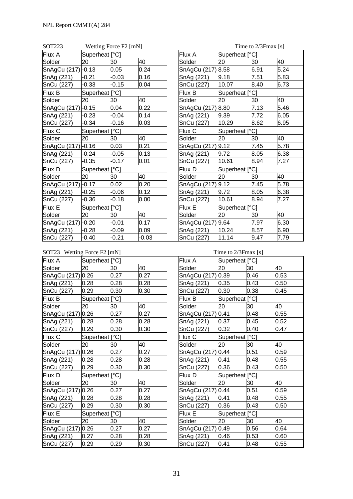| SOT223                      |                | Wetting Force F2 [mN] |         |                   |                     | Time to $2/3$ Fmax [s] |      |
|-----------------------------|----------------|-----------------------|---------|-------------------|---------------------|------------------------|------|
| Flux A                      | Superheat [°C] |                       |         | Flux A            | Superheat [°C]      |                        |      |
| Solder                      | 20             | 30                    | 40      | Solder            | 20                  | 30                     | 40   |
| SnAgCu (217)                | $-0.13$        | 0.05                  | 0.24    | SnAgCu (217)      | 8.58                | 6.91                   | 5.24 |
| SnAg (221)                  | $-0.21$        | $-0.03$               | 0.16    | SnAg (221)        | 9.18                | 7.51                   | 5.83 |
| SnCu (227)                  | $-0.33$        | $-0.15$               | 0.04    | SnCu (227)        | 10.07               | 8.40                   | 6.73 |
| Flux B                      | Superheat [°C] |                       |         | Flux B            | Superheat [°C]      |                        |      |
| Solder                      | 20             | 30                    | 40      | Solder            | 20                  | 30                     | 40   |
| SnAgCu (217)-0.15           |                | 0.04                  | 0.22    | SnAgCu (217) 8.80 |                     | 7.13                   | 5.46 |
| SnAg (221)                  | $-0.23$        | $-0.04$               | 0.14    | SnAg (221)        | 9.39                | 7.72                   | 6.05 |
| SnCu (227)                  | $-0.34$        | $-0.16$               | 0.03    | SnCu (227)        | 10.29               | 8.62                   | 6.95 |
| Flux C                      | Superheat [°C] |                       |         | Flux C            | Superheat [°C]      |                        |      |
| Solder                      | 20             | 30                    | 40      | Solder            | 20                  | 30                     | 40   |
| SnAgCu (217)-0.16           |                | 0.03                  | 0.21    | SnAgCu (217)      | 9.12                | 7.45                   | 5.78 |
| SnAg (221)                  | $-0.24$        | $-0.05$               | 0.13    | SnAg (221)        | 9.72                | 8.05                   | 6.38 |
| SnCu (227)                  | $-0.35$        | $-0.17$               | 0.01    | SnCu (227)        | 10.61               | 8.94                   | 7.27 |
| Flux D                      | Superheat [°C] |                       |         | Flux D            | Superheat [°C]      |                        |      |
| Solder                      | 20             | 30                    | 40      | Solder            | 20                  | 30                     | 40   |
| SnAgCu (217)-0.17           |                | 0.02                  | 0.20    | SnAgCu (217) 9.12 |                     | 7.45                   | 5.78 |
| SnAg (221)                  | $-0.25$        | $-0.06$               | 0.12    | SnAg (221)        | 9.72                | 8.05                   | 6.38 |
| SnCu (227)                  | $-0.36$        | $-0.18$               | 0.00    | SnCu (227)        | 10.61               | 8.94                   | 7.27 |
| Flux E                      | Superheat [°C] |                       |         | Flux E            | Superheat [°C]      |                        |      |
| Solder                      | 20             | 30                    | 40      | Solder            | 20                  | 30                     | 40   |
| SnAgCu (217)                | $-0.20$        | $-0.01$               | 0.17    | SnAgCu (217)      | 9.64                | 7.97                   | 6.30 |
| SnAg (221)                  | $-0.28$        | -0.09                 | 0.09    | SnAg (221)        | 10.24               | 8.57                   | 6.90 |
| SnCu (227)                  | $-0.40$        | $-0.21$               | $-0.03$ | SnCu (227)        | 11.14               | 9.47                   | 7.79 |
| SOT23 Wetting Force F2 [mN] |                |                       |         |                   | Time to 2/3Fmax [s] |                        |      |
| Flux A                      | Superheat [°C] |                       |         | Flux A            | Superheat [°C]      |                        |      |
| Solder                      | 20             | 30                    | 40      | Solder            | 20                  | 30                     | 40   |
| SnAgCu (217) 0.26           |                | 0.27                  | 0.27    | SnAgCu (217)      | 0.39                | 0.46                   | 0.53 |
| SnAg (221)                  | 0.28           | 0.28                  | 0.28    | SnAg (221)        | 0.35                | 0.43                   | 0.50 |
| SnCu (227)                  | 0.29           | 0.30                  | 0.30    | SnCu (227)        | 0.30                | 0.38                   | 0.45 |
| Flux B                      | Superheat [°C] |                       |         | Flux B            | Superheat [°C]      |                        |      |
| Solder                      | 20             | 30                    | 40      | Solder            | 20                  | 30                     | 40   |
| SnAgCu (217) 0.26           |                | 0.27                  | 0.27    | SnAgCu (217) 0.41 |                     | 0.48                   | 0.55 |
| SnAg (221)                  | 0.28           | 0.28                  | 0.28    | SnAg (221)        | 0.37                | 0.45                   | 0.52 |
| SnCu (227)                  | 0.29           | 0.30                  | 0.30    | SnCu (227)        | 0.32                | 0.40                   | 0.47 |
| Flux C                      | Superheat [°C] |                       |         | Flux C            | Superheat [°C]      |                        |      |
| Solder                      | 20             | 30                    | 40      | Solder            | 20                  | 30                     | 40   |
| SnAgCu (217)                | 0.26           | 0.27                  | 0.27    | SnAgCu (217)      | 0.44                | 0.51                   | 0.59 |
| SnAg (221)                  | 0.28           | 0.28                  | 0.28    | SnAg (221)        | 0.41                | 0.48                   | 0.55 |
| SnCu (227)                  | 0.29           | 0.30                  | 0.30    | SnCu (227)        | 0.36                | 0.43                   | 0.50 |

SnCu (227) 0.41 0.48 0.55

Flux D Superheat [°C]<br>
Solder 20 30 40 Solder 20 30

Flux E Superheat [°C] | |Flux E |Superheat [°C]

SnCu (227) 0.29 0.29 0.30

Solder 20 30 40 Solder 20 30 40 SnAgCu (217) 0.26 0.27 0.27 SnAgCu (217) 0.44 0.51 0.59 SnAg (221) 0.28 0.28 0.28 SnAg (221) 0.41 0.48 0.55 SnCu (227) 0.29 0.30 0.30 SnCu (227) 0.36 0.43 0.50

Solder 20 30 40 Solder 20 30 40 SnAgCu (217) 0.26 0.27 0.27 SnAgCu (217) 0.49 0.56 0.64 SnAg (221) 0.27 0.28 0.28 SnAg (221) 0.46 0.53 0.60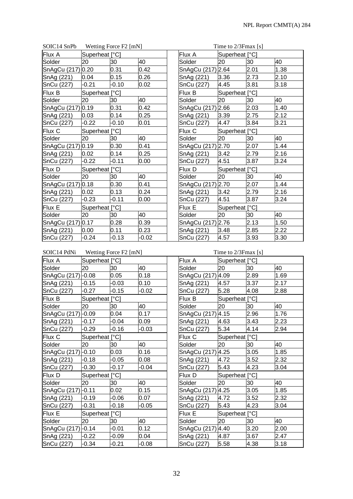| SOIC14 SnPb       | Wetting Force F2 [mN] |         |         | Time to $2/3$ Fmax [s] |                |      |      |
|-------------------|-----------------------|---------|---------|------------------------|----------------|------|------|
| Flux A            | Superheat [°C]        |         | Flux A  | Superheat [°C]         |                |      |      |
| Solder            | 20                    | 30      | 40      | Solder                 | 20             | 30   | 40   |
| SnAgCu (217) 0.20 |                       | 0.31    | 0.42    | SnAgCu (217) 2.64      |                | 2.01 | 1.38 |
| SnAg (221)        | 0.04                  | 0.15    | 0.26    | SnAg (221)             | 3.36           | 2.73 | 2.10 |
| SnCu (227)        | $-0.21$               | $-0.10$ | 0.02    | SnCu (227)             | 4.45           | 3.81 | 3.18 |
| Flux B            | Superheat [°C]        |         |         | Flux B                 | Superheat [°C] |      |      |
| Solder            | 20                    | 30      | 40      | Solder                 | 20             | 30   | 40   |
| SnAgCu (217) 0.19 |                       | 0.31    | 0.42    | SnAgCu (217) 2.66      |                | 2.03 | 1.40 |
| SnAg (221)        | 0.03                  | 0.14    | 0.25    | SnAg (221)             | 3.39           | 2.75 | 2.12 |
| SnCu (227)        | $-0.22$               | $-0.10$ | 0.01    | SnCu (227)             | 4.47           | 3.84 | 3.21 |
| Flux C            | Superheat [°C]        |         |         | Flux C                 | Superheat [°C] |      |      |
| Solder            | 20                    | 30      | 40      | Solder                 | 20             | 30   | 40   |
| SnAgCu (217) 0.19 |                       | 0.30    | 0.41    | SnAgCu (217) 2.70      |                | 2.07 | 1.44 |
| SnAg (221)        | 0.02                  | 0.14    | 0.25    | SnAg (221)             | 3.42           | 2.79 | 2.16 |
| SnCu (227)        | $-0.22$               | $-0.11$ | 0.00    | SnCu (227)             | 4.51           | 3.87 | 3.24 |
| Flux D            | Superheat [°C]        |         |         | Flux D                 | Superheat [°C] |      |      |
| Solder            | 20                    | 30      | 40      | Solder                 | 20             | 30   | 40   |
| SnAgCu (217) 0.18 |                       | 0.30    | 0.41    | SnAgCu (217) 2.70      |                | 2.07 | 1.44 |
| SnAg (221)        | 0.02                  | 0.13    | 0.24    | SnAg (221)             | 3.42           | 2.79 | 2.16 |
| SnCu (227)        | $-0.23$               | $-0.11$ | 0.00    | SnCu (227)             | 4.51           | 3.87 | 3.24 |
| Flux E            | Superheat [°C]        |         |         | Flux E                 | Superheat [°C] |      |      |
| Solder            | 20                    | 30      | 40      | Solder                 | 20             | 30   | 40   |
| SnAgCu (217) 0.17 |                       | 0.28    | 0.39    | SnAgCu (217) 2.76      |                | 2.13 | 1.50 |
| SnAg (221)        | 0.00                  | 0.11    | 0.23    | SnAg (221)             | 3.48           | 2.85 | 2.22 |
| SnCu (227)        | $-0.24$               | $-0.13$ | $-0.02$ | SnCu (227)             | 4.57           | 3.93 | 3.30 |

|                   | Time to $2/3$ Fmax $ s $ |                |      |  |  |  |
|-------------------|--------------------------|----------------|------|--|--|--|
| Flux A            | Superheat [°C]           |                |      |  |  |  |
| Solder            | 20                       | 30             | 40   |  |  |  |
| SnAgCu (217) 2.64 |                          | 2.01           | 1.38 |  |  |  |
| SnAg (221)        | 3.36                     | 2.73           | 2.10 |  |  |  |
| SnCu (227)        | 4.45                     | 3.81           | 3.18 |  |  |  |
| Flux B            |                          | Superheat [°C] |      |  |  |  |
| Solder            | 20                       | 30             | 40   |  |  |  |
| SnAgCu (217) 2.66 |                          | 2.03           | 1.40 |  |  |  |
| SnAg (221)        | 3.39                     | 2.75           | 2.12 |  |  |  |
| SnCu (227)        | 4.47                     | 3.84           | 3.21 |  |  |  |
| Flux C            |                          | Superheat [°C] |      |  |  |  |
| Solder            | 20                       | 30             | 40   |  |  |  |
| SnAgCu (217) 2.70 |                          | 2.07           | 1.44 |  |  |  |
| SnAg (221)        | 3.42                     | 2.79           | 2.16 |  |  |  |
| SnCu (227)        | 4.51                     | 3.87           | 3.24 |  |  |  |
| Flux D            | Superheat [°C]           |                |      |  |  |  |
| Solder            | 20                       | 30             | 40   |  |  |  |
| SnAgCu (217) 2.70 |                          | 2.07           | 1.44 |  |  |  |
| SnAg (221)        | 3.42                     | 2.79           | 2.16 |  |  |  |
| SnCu (227)        | 4.51                     | 3.87           | 3.24 |  |  |  |
| Flux E            | Superheat [°C]           |                |      |  |  |  |
| Solder            | 20                       | 30             | 40   |  |  |  |
| SnAgCu (217) 2.76 |                          | 2.13           | 1.50 |  |  |  |
| SnAg (221)        | 3.48                     | 2.85           | 2.22 |  |  |  |
| SnCu (227)        | 4.57                     | 3.93           | 3.30 |  |  |  |

| SOIC14 PdNi       | Wetting Force F2 [mN] |                |         |                   | Time to 2/3Fmax [s] |                |      |  |  |
|-------------------|-----------------------|----------------|---------|-------------------|---------------------|----------------|------|--|--|
| Flux A            | Superheat [°C]        |                | Flux A  | Superheat [°C]    |                     |                |      |  |  |
| Solder            | 20                    | 30             | 40      | Solder            | 20                  | 30             | 40   |  |  |
| SnAgCu (217)-0.08 |                       | 0.05           | 0.18    | SnAgCu (217) 4.09 |                     | 2.89           | 1.69 |  |  |
| SnAg (221)        | $-0.15$               | $-0.03$        | 0.10    | SnAg (221)        | 4.57                | 3.37           | 2.17 |  |  |
| SnCu (227)        | $-0.27$               | $-0.15$        | $-0.02$ | SnCu (227)        | 5.28                | 4.08           | 2.88 |  |  |
| Flux B            |                       | Superheat [°C] |         |                   | Superheat [°C]      |                |      |  |  |
| Solder            | 20                    | 30             | 40      | Solder            | 20                  | 30             | 40   |  |  |
| SnAgCu (217)-0.09 |                       | 0.04           | 0.17    | SnAgCu (217) 4.15 |                     | 2.96           | 1.76 |  |  |
| SnAg (221)        | $-0.17$               | $-0.04$        | 0.09    | SnAg (221)        | 4.63                | 3.43           | 2.23 |  |  |
| SnCu (227)        | $-0.29$               | $-0.16$        | $-0.03$ | SnCu (227)        | 5.34                | 4.14           | 2.94 |  |  |
| Flux C            | Superheat [°C]        |                |         | Flux C            |                     | Superheat [°C] |      |  |  |
| Solder            | 20                    | 30             | 40      | Solder            | 20                  | 30             | 40   |  |  |
| SnAgCu (217)-0.10 |                       | 0.03           | 0.16    | SnAgCu (217) 4.25 |                     | 3.05           | 1.85 |  |  |
| SnAg (221)        | $-0.18$               | $-0.05$        | 0.08    | SnAg (221)        | 4.72                | 3.52           | 2.32 |  |  |
| SnCu (227)        | $-0.30$               | $-0.17$        | $-0.04$ | SnCu (227)        | 5.43                | 4.23           | 3.04 |  |  |
| Flux D            | Superheat [°C]        |                |         | Flux D            | Superheat [°C]      |                |      |  |  |
| Solder            | 20                    | 30             | 40      | Solder            | 20                  | 30             | 40   |  |  |
| SnAgCu (217)-0.11 |                       | 0.02           | 0.15    | SnAgCu (217) 4.25 |                     | 3.05           | 1.85 |  |  |
| SnAg (221)        | $-0.19$               | $-0.06$        | 0.07    | SnAg (221)        | 4.72                | 3.52           | 2.32 |  |  |
| SnCu (227)        | $-0.31$               | $-0.18$        | $-0.05$ | SnCu (227)        | 5.43                | 4.23           | 3.04 |  |  |
| Flux E            | Superheat [°C]        |                |         | Flux E            | Superheat [°C]      |                |      |  |  |
| Solder            | 20                    | 30             | 40      | Solder            | 20                  | 30             | 40   |  |  |
| SnAgCu (217)-0.14 |                       | $-0.01$        | 0.12    | SnAgCu (217) 4.40 |                     | 3.20           | 2.00 |  |  |
| SnAg (221)        | $-0.22$               | $-0.09$        | 0.04    | SnAg (221)        | 4.87                | 3.67           | 2.47 |  |  |
| SnCu (227)        | $-0.34$               | $-0.21$        | $-0.08$ | SnCu (227)        | 5.58                | 4.38           | 3.18 |  |  |

| Time to 2/3Fmax [s]      |                |      |      |  |  |  |
|--------------------------|----------------|------|------|--|--|--|
| Superheat [°C]<br>Flux A |                |      |      |  |  |  |
| Solder                   | 20             | 30   | 40   |  |  |  |
| SnAgCu (217) 4.09        |                | 2.89 | 1.69 |  |  |  |
| SnAg (221)               | 4.57           | 3.37 | 2.17 |  |  |  |
| SnCu (227)               | 5.28           | 4.08 | 2.88 |  |  |  |
| Flux B                   | Superheat [°C] |      |      |  |  |  |
| Solder                   | 20             | 30   | 40   |  |  |  |
| SnAgCu (217) 4.15        |                | 2.96 | 1.76 |  |  |  |
| SnAg (221)               | 4.63           | 3.43 | 2.23 |  |  |  |
| SnCu (227)               | 5.34           | 4.14 | 2.94 |  |  |  |
| Flux C                   | Superheat [°C] |      |      |  |  |  |
| Solder                   | 20             | 30   | 40   |  |  |  |
| SnAgCu (217) 4.25        |                | 3.05 | 1.85 |  |  |  |
| SnAg (221)               | 4.72           | 3.52 | 2.32 |  |  |  |
| SnCu (227)               | 5.43           | 4.23 | 3.04 |  |  |  |
| Flux D                   | Superheat [°C] |      |      |  |  |  |
| Solder                   | 20             | 30   | 40   |  |  |  |
| SnAgCu (217) 4.25        |                | 3.05 | 1.85 |  |  |  |
| SnAg (221)               | 4.72           | 3.52 | 2.32 |  |  |  |
| SnCu (227)               | 5.43           | 4.23 | 3.04 |  |  |  |
| Flux E                   | Superheat [°C] |      |      |  |  |  |
| Solder                   | 20             | 30   | 40   |  |  |  |
| SnAgCu (217) 4.40        |                | 3.20 | 2.00 |  |  |  |
| SnAg (221)               | 4.87           | 3.67 | 2.47 |  |  |  |
| SnCu (227)               | 5.58           | 4.38 | 3.18 |  |  |  |

32